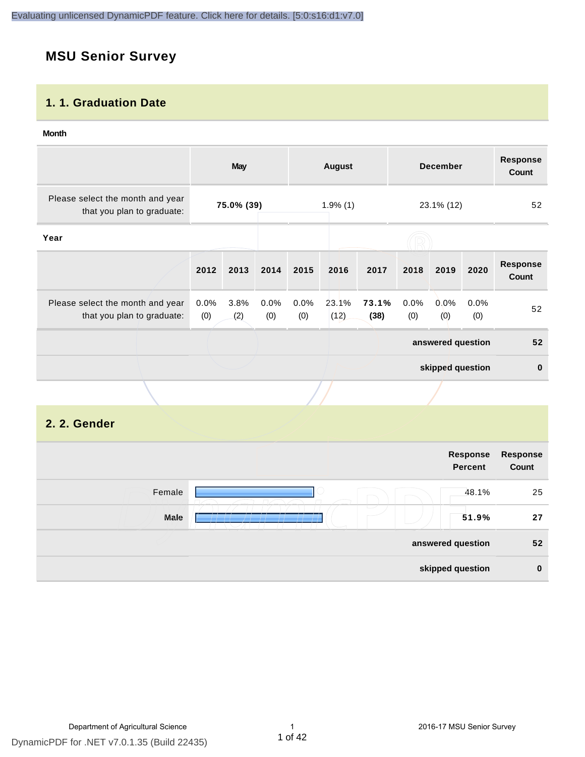#### **MSU Senior Survey**

#### **1. 1. Graduation Date**

#### **Month**

|                                                                |             | <b>May</b>  |             |             | <b>August</b> |               |             | <b>December</b>   |             | <b>Response</b><br><b>Count</b> |
|----------------------------------------------------------------|-------------|-------------|-------------|-------------|---------------|---------------|-------------|-------------------|-------------|---------------------------------|
| Please select the month and year<br>that you plan to graduate: |             | 75.0% (39)  |             |             | $1.9\%$ (1)   |               |             | 23.1% (12)        |             | 52                              |
| Year                                                           |             |             |             |             |               |               |             |                   |             |                                 |
|                                                                | 2012        | 2013        | 2014        | 2015        | 2016          | 2017          | 2018        | 2019              | 2020        | <b>Response</b><br>Count        |
| Please select the month and year<br>that you plan to graduate: | 0.0%<br>(0) | 3.8%<br>(2) | 0.0%<br>(0) | 0.0%<br>(0) | 23.1%<br>(12) | 73.1%<br>(38) | 0.0%<br>(0) | 0.0%<br>(0)       | 0.0%<br>(0) | 52                              |
|                                                                |             |             |             |             |               |               |             | answered question |             | 52                              |
|                                                                |             |             |             |             |               |               |             | skipped question  |             | $\mathbf 0$                     |
|                                                                |             |             |             |             |               |               |             |                   |             |                                 |
| 2. 2. Gender                                                   |             |             |             |             |               |               |             |                   |             |                                 |

|        |                          | Response<br><b>Percent</b> | Response<br>Count |
|--------|--------------------------|----------------------------|-------------------|
| Female |                          | 48.1%                      | 25                |
| Male   | $\overline{\phantom{a}}$ | 51.9%                      | 27                |
|        |                          | answered question          | 52                |
|        |                          | skipped question           | $\bf{0}$          |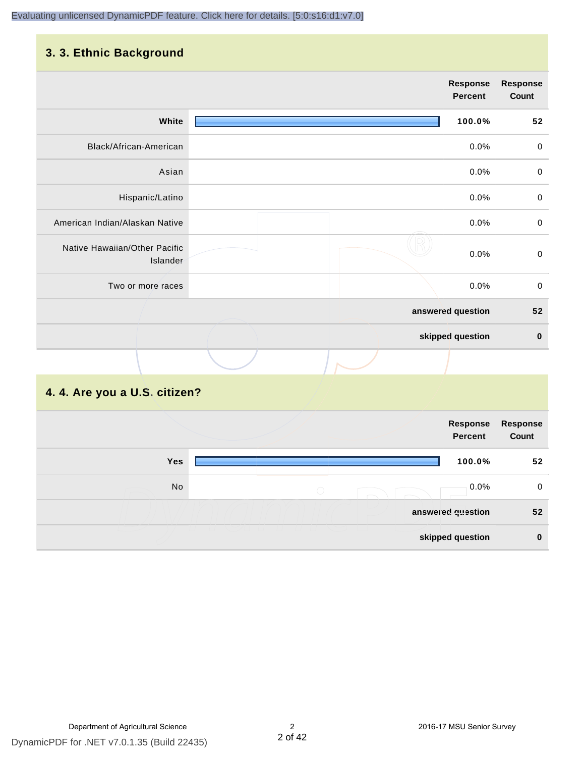#### **3. 3. Ethnic Background**

|                                           | <b>Response</b><br><b>Percent</b> | <b>Response</b><br>Count |
|-------------------------------------------|-----------------------------------|--------------------------|
| White                                     | 100.0%                            | 52                       |
| Black/African-American                    | 0.0%                              | $\pmb{0}$                |
| Asian                                     | 0.0%                              | $\pmb{0}$                |
| Hispanic/Latino                           | 0.0%                              | $\pmb{0}$                |
| American Indian/Alaskan Native            | 0.0%                              | $\mathbf 0$              |
| Native Hawaiian/Other Pacific<br>Islander | 0.0%                              | $\mathbf 0$              |
| Two or more races                         | 0.0%                              | $\mathbf 0$              |
|                                           | answered question                 | 52                       |
|                                           | skipped question                  | $\pmb{0}$                |
|                                           |                                   |                          |

#### **4. 4. Are you a U.S. citizen?**

|     | Response<br>Percent | Response<br>Count |
|-----|---------------------|-------------------|
| Yes | 100.0%              | 52                |
| No  | 0.0%<br>$\bigcirc$  | 0                 |
|     | answered question   | 52                |
|     | skipped question    | $\bf{0}$          |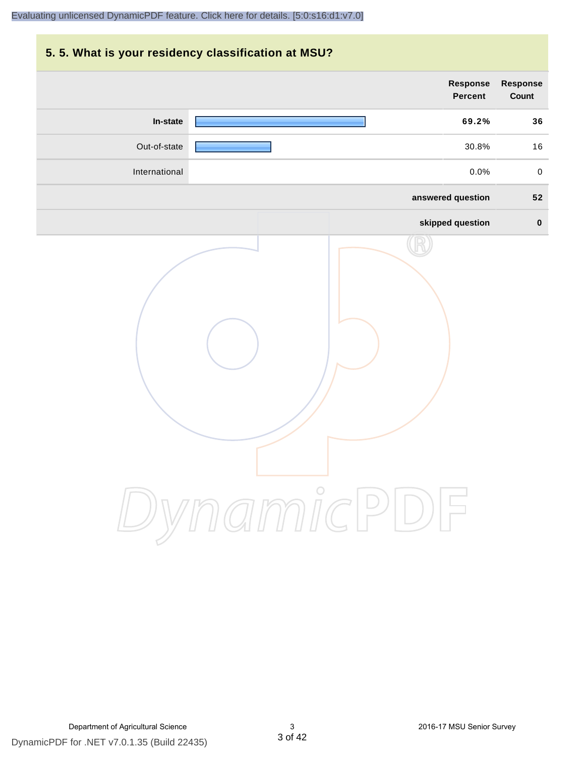# **5. 5. What is your residency classification at MSU? Response Response Percent Count In-state 69.2% 36** Out-of-state 30.8% 16 International 0.0% 0 **answered question 52 skipped question 0** DynamicPDF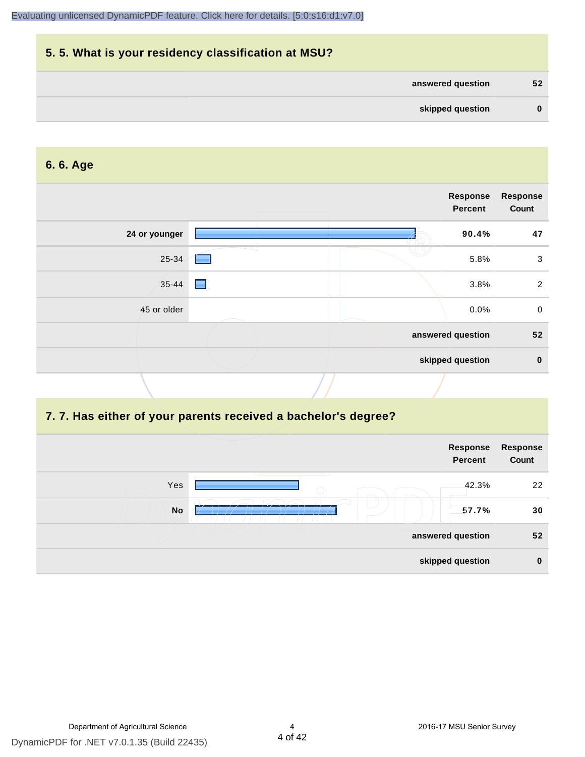| 5.5. What is your residency classification at MSU? |          |
|----------------------------------------------------|----------|
| answered question                                  | 52       |
| skipped question                                   | $\bf{0}$ |

#### **6. 6. Age**

|               |   | Response<br><b>Percent</b> | <b>Response</b><br>Count |
|---------------|---|----------------------------|--------------------------|
| 24 or younger |   | 90.4%                      | 47                       |
| 25-34         | ٠ | 5.8%                       | $\sqrt{3}$               |
| $35 - 44$     | ▄ | 3.8%                       | $\overline{2}$           |
| 45 or older   |   | 0.0%                       | $\mathbf 0$              |
|               |   | answered question          | 52                       |
|               |   | skipped question           | $\pmb{0}$                |

#### **7. 7. Has either of your parents received a bachelor's degree?**

|     | Response<br><b>Percent</b> | Response<br>Count |
|-----|----------------------------|-------------------|
| Yes | 42.3%<br>$\bigcirc$        | 22                |
| No  | 57.7%                      | 30                |
|     | answered question          | 52                |
|     | skipped question           | $\bf{0}$          |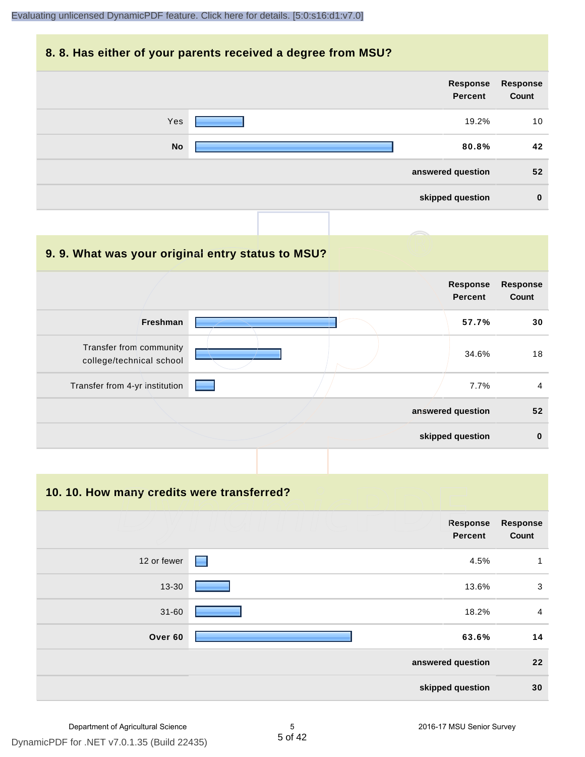#### **8. 8. Has either of your parents received a degree from MSU?**



| 9.9. What was your original entry status to MSU?    |                                   |                          |
|-----------------------------------------------------|-----------------------------------|--------------------------|
|                                                     | <b>Response</b><br><b>Percent</b> | <b>Response</b><br>Count |
| Freshman                                            | 57.7%                             | 30                       |
| Transfer from community<br>college/technical school | 34.6%                             | 18                       |
| Transfer from 4-yr institution                      | 7.7%                              | $\overline{4}$           |
|                                                     | answered question                 | 52                       |
|                                                     | skipped question                  | $\mathbf 0$              |

**10. 10. How many credits were transferred?**

|             | Response<br><b>Percent</b> | <b>Response</b><br>Count |
|-------------|----------------------------|--------------------------|
| 12 or fewer | 4.5%<br>$\Box$             | 1                        |
| 13-30       | 13.6%                      | 3                        |
| $31 - 60$   | 18.2%                      | $\overline{a}$           |
| Over 60     | 63.6%                      | 14                       |
|             | answered question          | 22                       |
|             | skipped question           | 30                       |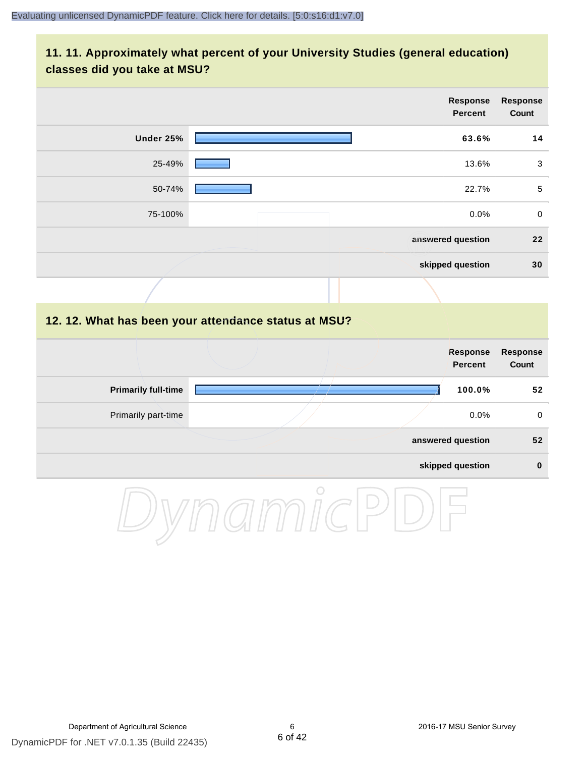#### **11. 11. Approximately what percent of your University Studies (general education) classes did you take at MSU?**

|                                                      |  | <b>Response</b><br><b>Percent</b> | <b>Response</b><br>Count |
|------------------------------------------------------|--|-----------------------------------|--------------------------|
| Under 25%                                            |  | 63.6%                             | 14                       |
| 25-49%                                               |  | 13.6%                             | 3                        |
| 50-74%                                               |  | 22.7%                             | $5\phantom{.0}$          |
| 75-100%                                              |  | 0.0%                              | $\mathbf 0$              |
|                                                      |  | answered question                 | 22                       |
|                                                      |  | skipped question                  | 30                       |
|                                                      |  |                                   |                          |
| 12. 12. What has been your attendance status at MSU? |  |                                   |                          |
|                                                      |  | <b>Response</b><br><b>Percent</b> | <b>Response</b><br>Count |
| <b>Primarily full-time</b>                           |  | 100.0%                            | 52                       |
| Primarily part-time                                  |  | 0.0%                              | $\pmb{0}$                |
|                                                      |  | answered question                 | 52                       |
|                                                      |  | skipped question                  | $\pmb{0}$                |

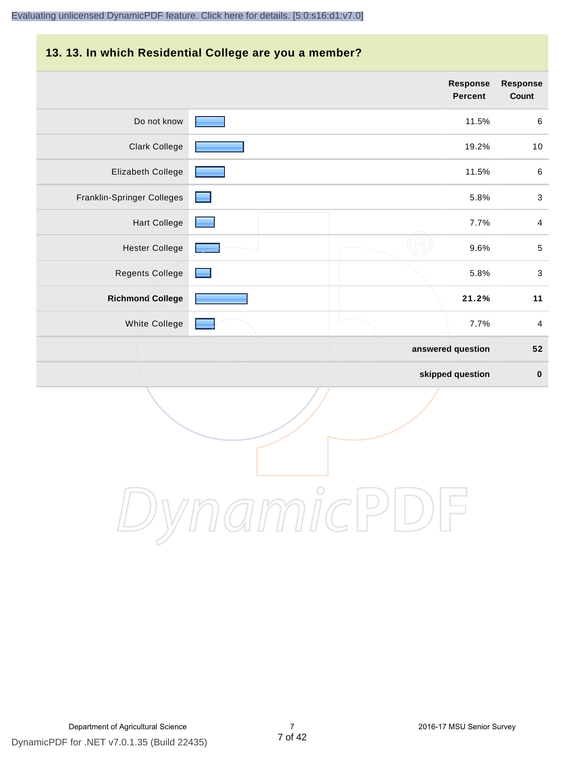#### **13. 13. In which Residential College are you a member?**

|                            | <b>Response</b><br><b>Percent</b> | <b>Response</b><br>Count  |
|----------------------------|-----------------------------------|---------------------------|
| Do not know                | 11.5%                             | $\,6$                     |
| <b>Clark College</b>       | 19.2%                             | 10                        |
| Elizabeth College          | 11.5%                             | $\,6\,$                   |
| Franklin-Springer Colleges | 5.8%                              | $\ensuremath{\mathsf{3}}$ |
| <b>Hart College</b>        | 7.7%                              | $\overline{4}$            |
| <b>Hester College</b>      | 9.6%                              | $\sqrt{5}$                |
| <b>Regents College</b>     | 5.8%                              | $\ensuremath{\mathsf{3}}$ |
| <b>Richmond College</b>    | 21.2%                             | 11                        |
| White College              | 7.7%                              | $\overline{\mathbf{4}}$   |
|                            | answered question                 | 52                        |
|                            | skipped question                  | $\pmb{0}$                 |

DynamicPDF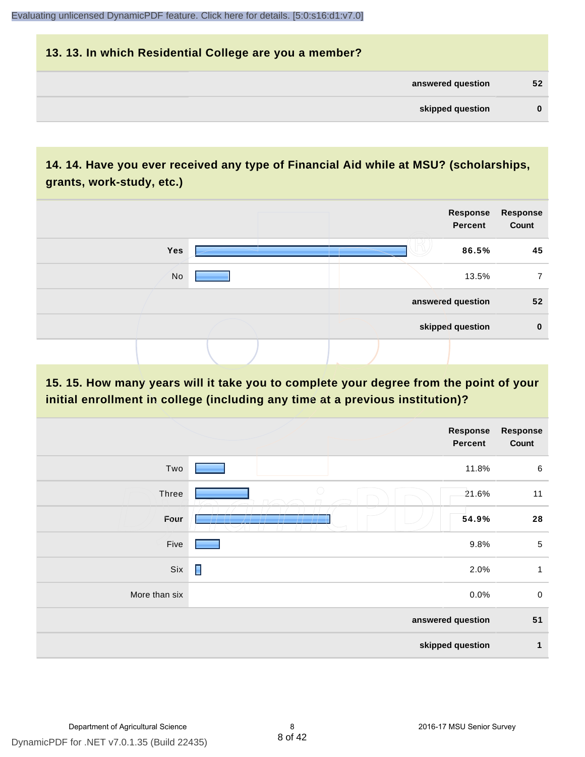### **13. 13. In which Residential College are you a member? answered question 52 skipped question 0**

#### **14. 14. Have you ever received any type of Financial Aid while at MSU? (scholarships, grants, work-study, etc.)**



**15. 15. How many years will it take you to complete your degree from the point of your initial enrollment in college (including any time at a previous institution)?**

|               |                   | <b>Response</b><br><b>Percent</b> | <b>Response</b><br>Count |
|---------------|-------------------|-----------------------------------|--------------------------|
| Two           |                   | 11.8%                             | $\,6\,$                  |
| Three         | $\bigcirc$        | 21.6%                             | 11                       |
| Four          |                   | 54.9%                             | 28                       |
| Five          |                   | 9.8%                              | $\sqrt{5}$               |
| Six           | П                 | 2.0%                              | $\mathbf{1}$             |
| More than six |                   | 0.0%                              | $\pmb{0}$                |
|               | answered question |                                   | 51                       |
|               |                   | skipped question                  | 1                        |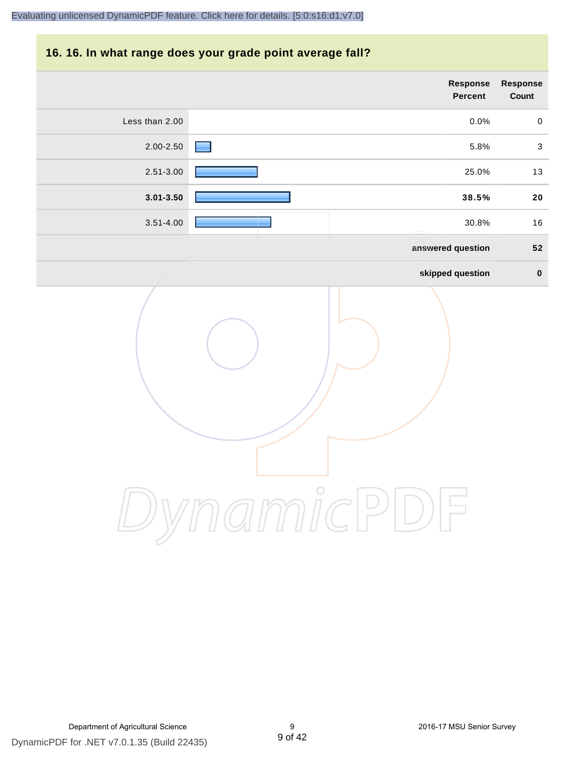#### **16. 16. In what range does your grade point average fall?**

|                | Response<br>Percent | Response<br>Count |
|----------------|---------------------|-------------------|
| Less than 2.00 | 0.0%                | $\mathbf 0$       |
| 2.00-2.50      | 5.8%                | $\mathfrak{S}$    |
| $2.51 - 3.00$  | 25.0%               | 13                |
| $3.01 - 3.50$  | 38.5%               | ${\bf 20}$        |
| $3.51 - 4.00$  | 30.8%               | 16                |
|                | answered question   | 52                |
|                | skipped question    | $\pmb{0}$         |
|                | micP                |                   |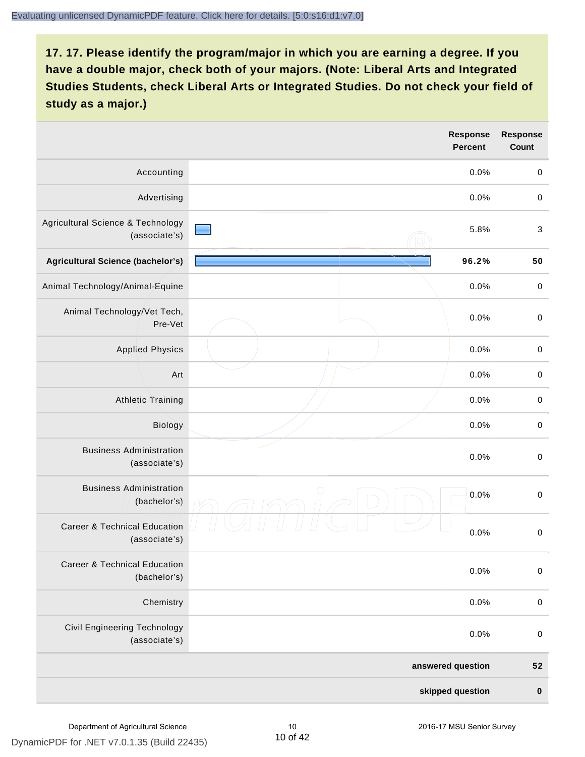|                                                          |                   | <b>Response</b><br><b>Percent</b> | <b>Response</b><br>Count |
|----------------------------------------------------------|-------------------|-----------------------------------|--------------------------|
| Accounting                                               |                   | 0.0%                              | $\,0\,$                  |
| Advertising                                              |                   | 0.0%                              | $\,0\,$                  |
| Agricultural Science & Technology<br>(associate's)       |                   | 5.8%                              | $\sqrt{3}$               |
| Agricultural Science (bachelor's)                        |                   | 96.2%                             | 50                       |
| Animal Technology/Animal-Equine                          |                   | 0.0%                              | $\,0\,$                  |
| Animal Technology/Vet Tech,<br>Pre-Vet                   |                   | 0.0%                              | $\,0\,$                  |
| <b>Applied Physics</b>                                   |                   | 0.0%                              | $\mathbf 0$              |
| Art                                                      |                   | 0.0%                              | $\,0\,$                  |
| <b>Athletic Training</b>                                 |                   | 0.0%                              | $\mathbf 0$              |
| Biology                                                  |                   | 0.0%                              | $\mathbf 0$              |
| <b>Business Administration</b><br>(associate's)          |                   | 0.0%                              | $\pmb{0}$                |
| <b>Business Administration</b><br>(bachelor's)           | $\bigcirc$        | 0.0%                              | $\mathbf 0$              |
| <b>Career &amp; Technical Education</b><br>(associate's) |                   | 0.0%                              | $\,0\,$                  |
| <b>Career &amp; Technical Education</b><br>(bachelor's)  |                   | 0.0%                              | $\mathbf 0$              |
| Chemistry                                                |                   | 0.0%                              | $\,0\,$                  |
| <b>Civil Engineering Technology</b><br>(associate's)     |                   | 0.0%                              | $\,0\,$                  |
|                                                          | answered question |                                   | ${\bf 52}$               |
|                                                          | skipped question  |                                   | $\pmb{0}$                |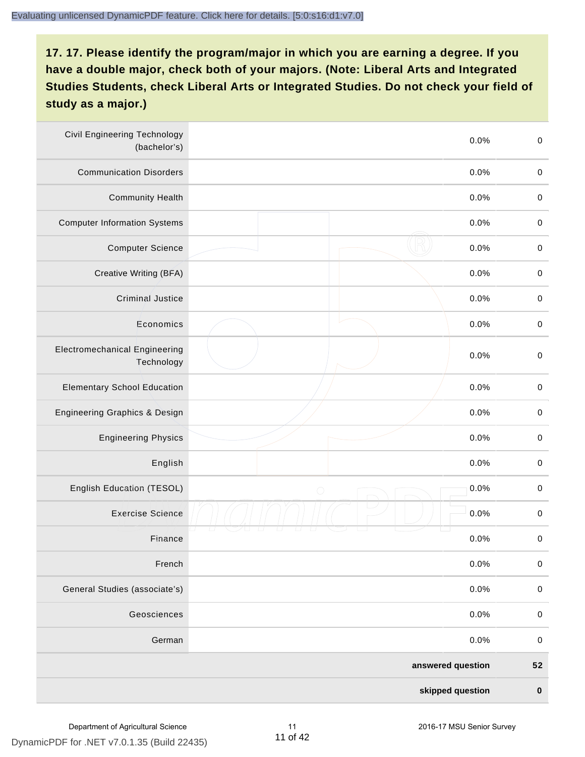| <b>Civil Engineering Technology</b><br>(bachelor's) | 0.0%               | $\mathbf 0$ |
|-----------------------------------------------------|--------------------|-------------|
| <b>Communication Disorders</b>                      | 0.0%               | $\mathbf 0$ |
| <b>Community Health</b>                             | 0.0%               | $\mathbf 0$ |
| <b>Computer Information Systems</b>                 | 0.0%               | $\,0\,$     |
| <b>Computer Science</b>                             | 0.0%               | $\mathbf 0$ |
| Creative Writing (BFA)                              | 0.0%               | $\mathbf 0$ |
| <b>Criminal Justice</b>                             | 0.0%               | $\mathbf 0$ |
| Economics                                           | 0.0%               | $\mathbf 0$ |
| <b>Electromechanical Engineering</b><br>Technology  | 0.0%               | $\mathbf 0$ |
| <b>Elementary School Education</b>                  | 0.0%               | $\mathbf 0$ |
| Engineering Graphics & Design                       | 0.0%               | $\mathbf 0$ |
| <b>Engineering Physics</b>                          | 0.0%               | $\mathbf 0$ |
| English                                             | 0.0%               | $\mathbf 0$ |
| English Education (TESOL)                           | 0.0%<br>$\bigcirc$ | $\pmb{0}$   |
| <b>Exercise Science</b>                             | 0.0%               | $\pmb{0}$   |
| Finance                                             | 0.0%               | $\,0\,$     |
| French                                              | 0.0%               | $\pmb{0}$   |
| General Studies (associate's)                       | 0.0%               | $\mathbf 0$ |
| Geosciences                                         | 0.0%               | $\pmb{0}$   |
| German                                              | 0.0%               | $\mathbf 0$ |
|                                                     | answered question  | 52          |
|                                                     | skipped question   | $\pmb{0}$   |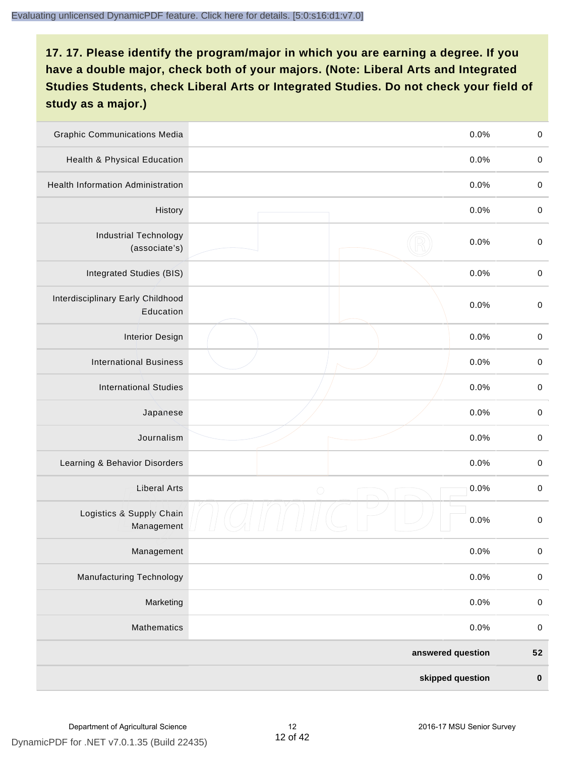| <b>Graphic Communications Media</b>            | 0.0%               | $\mathbf 0$ |
|------------------------------------------------|--------------------|-------------|
| Health & Physical Education                    | 0.0%               | $\mathbf 0$ |
| <b>Health Information Administration</b>       | 0.0%               | $\mathbf 0$ |
| History                                        | 0.0%               | $\pmb{0}$   |
| <b>Industrial Technology</b><br>(associate's)  | 0.0%               | $\mathbf 0$ |
| Integrated Studies (BIS)                       | 0.0%               | $\mathbf 0$ |
| Interdisciplinary Early Childhood<br>Education | 0.0%               | $\mathbf 0$ |
| <b>Interior Design</b>                         | 0.0%               | $\pmb{0}$   |
| <b>International Business</b>                  | 0.0%               | $\pmb{0}$   |
| <b>International Studies</b>                   | 0.0%               | $\mathbf 0$ |
| Japanese                                       | 0.0%               | $\pmb{0}$   |
| Journalism                                     | 0.0%               | $\pmb{0}$   |
| Learning & Behavior Disorders                  | 0.0%               | $\pmb{0}$   |
| <b>Liberal Arts</b>                            | 0.0%<br>$\bigcirc$ | $\pmb{0}$   |
| Logistics & Supply Chain<br>Management         | 0.0%               | $\mathbf 0$ |
| Management                                     | 0.0%               | $\pmb{0}$   |
| <b>Manufacturing Technology</b>                | 0.0%               | $\mathbf 0$ |
| Marketing                                      | 0.0%               | $\mathbf 0$ |
| Mathematics                                    | 0.0%               | $\,0\,$     |
|                                                | answered question  | 52          |
|                                                | skipped question   | $\pmb{0}$   |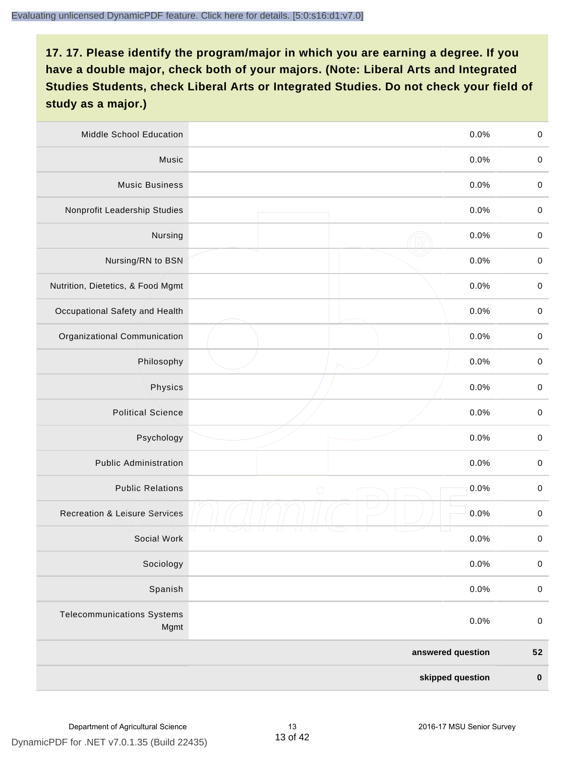| Middle School Education                   | 0.0%               | $\,0\,$     |
|-------------------------------------------|--------------------|-------------|
| Music                                     | 0.0%               | $\pmb{0}$   |
| <b>Music Business</b>                     | 0.0%               | $\mathbf 0$ |
| Nonprofit Leadership Studies              | 0.0%               | $\pmb{0}$   |
| Nursing                                   | 0.0%               | $\pmb{0}$   |
| Nursing/RN to BSN                         | 0.0%               | $\,0\,$     |
| Nutrition, Dietetics, & Food Mgmt         | 0.0%               | $\pmb{0}$   |
| Occupational Safety and Health            | 0.0%               | $\mathbf 0$ |
| Organizational Communication              | 0.0%               | $\pmb{0}$   |
| Philosophy                                | 0.0%               | $\pmb{0}$   |
| Physics                                   | 0.0%               | $\,0\,$     |
| <b>Political Science</b>                  | 0.0%               | $\mathbf 0$ |
| Psychology                                | 0.0%               | $\mathbf 0$ |
| <b>Public Administration</b>              | 0.0%               | $\pmb{0}$   |
| <b>Public Relations</b>                   | 0.0%<br>$\bigcirc$ | $\pmb{0}$   |
| <b>Recreation &amp; Leisure Services</b>  | 0.0%               | $\pmb{0}$   |
| Social Work                               | 0.0%               | $\pmb{0}$   |
| Sociology                                 | 0.0%               | $\mathbf 0$ |
| Spanish                                   | 0.0%               | $\mathbf 0$ |
| <b>Telecommunications Systems</b><br>Mgmt | 0.0%               | $\mathbf 0$ |
|                                           | answered question  | ${\bf 52}$  |
|                                           | skipped question   | $\pmb{0}$   |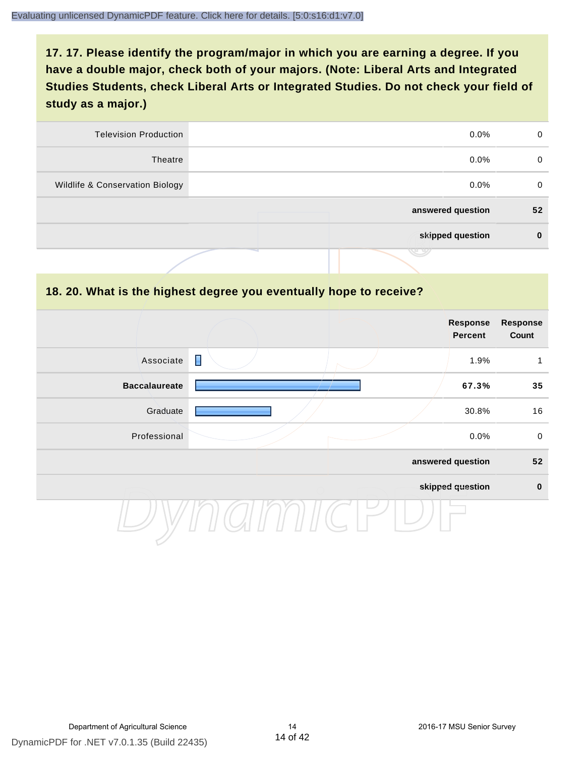| 0  | $0.0\%$           | <b>Television Production</b>    |
|----|-------------------|---------------------------------|
| 0  | $0.0\%$           | Theatre                         |
| 0  | $0.0\%$           | Wildlife & Conservation Biology |
| 52 | answered question |                                 |
| 0  | skipped question  |                                 |
|    | J 9               |                                 |

#### **18. 20. What is the highest degree you eventually hope to receive?**

|                      |                | <b>Response</b><br>Percent | <b>Response</b><br>Count |
|----------------------|----------------|----------------------------|--------------------------|
| Associate            | $\blacksquare$ | 1.9%                       | 1                        |
| <b>Baccalaureate</b> |                | 67.3%                      | 35                       |
| Graduate             |                | 30.8%                      | 16                       |
| Professional         |                | 0.0%                       | $\pmb{0}$                |
|                      |                | answered question          | 52                       |
|                      |                | skipped question           | $\mathbf 0$              |
|                      |                |                            |                          |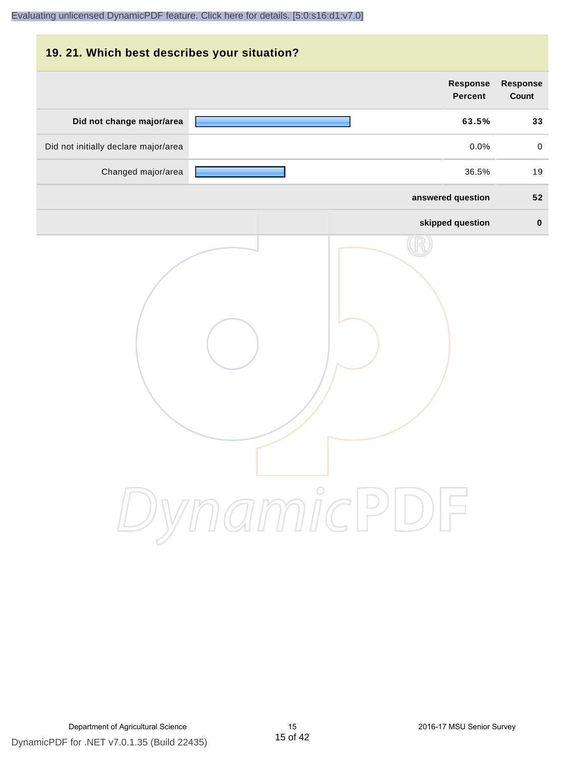| 19. 21. Which best describes your situation? |                                   |                                 |
|----------------------------------------------|-----------------------------------|---------------------------------|
|                                              | <b>Response</b><br><b>Percent</b> | <b>Response</b><br><b>Count</b> |
| Did not change major/area                    | 63.5%                             | 33                              |
| Did not initially declare major/area         | 0.0%                              | $\mathbf 0$                     |
| Changed major/area                           | 36.5%                             | 19                              |
|                                              | answered question                 | 52                              |
|                                              | skipped question                  | $\bf{0}$                        |
|                                              | DynamicPDF                        |                                 |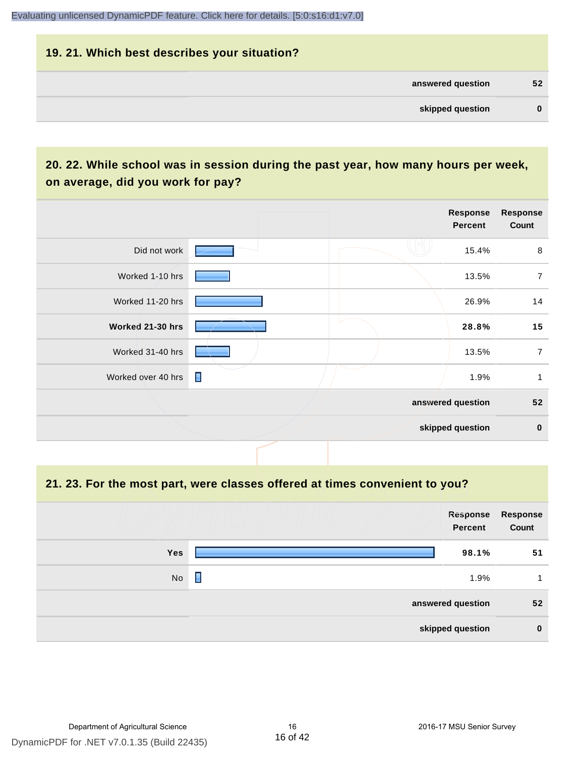# **19. 21. Which best describes your situation? answered question 52 skipped question 0**

#### **20. 22. While school was in session during the past year, how many hours per week, on average, did you work for pay?**

|                    |                | Response<br>Percent | <b>Response</b><br>Count |
|--------------------|----------------|---------------------|--------------------------|
| Did not work       |                | 15.4%               | 8                        |
| Worked 1-10 hrs    |                | 13.5%               | $\overline{7}$           |
| Worked 11-20 hrs   |                | 26.9%               | 14                       |
| Worked 21-30 hrs   |                | 28.8%               | 15                       |
| Worked 31-40 hrs   |                | 13.5%               | $\overline{7}$           |
| Worked over 40 hrs | $\blacksquare$ | 1.9%                | 1                        |
|                    |                | answered question   | 52                       |
|                    |                | skipped question    | $\mathbf 0$              |

#### **21. 23. For the most part, were classes offered at times convenient to you?**

|            | Response<br>Percent | <b>Response</b><br>Count |
|------------|---------------------|--------------------------|
| <b>Yes</b> | 98.1%               | 51                       |
| No         | Γ<br>1.9%           |                          |
|            | answered question   | 52                       |
|            | skipped question    | $\bf{0}$                 |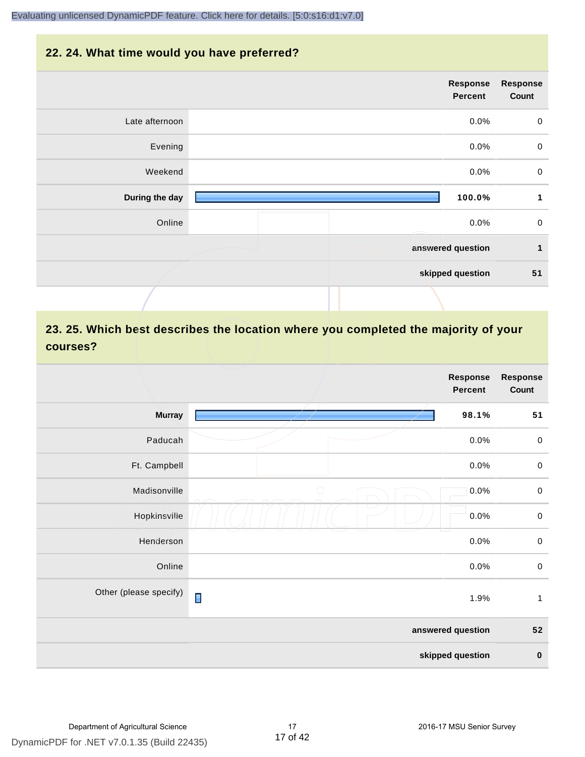#### **22. 24. What time would you have preferred?**

|                | Response<br>Percent | <b>Response</b><br>Count |
|----------------|---------------------|--------------------------|
| Late afternoon | 0.0%                | $\pmb{0}$                |
| Evening        | 0.0%                | $\pmb{0}$                |
| Weekend        | 0.0%                | $\mathbf 0$              |
| During the day | 100.0%              | 1                        |
| Online         | 0.0%                | $\mathbf 0$              |
|                | answered question   | $\mathbf{1}$             |
|                | skipped question    | 51                       |
|                |                     |                          |

#### **23. 25. Which best describes the location where you completed the majority of your courses?**

|                        |                | <b>Response</b><br><b>Percent</b> | <b>Response</b><br>Count |
|------------------------|----------------|-----------------------------------|--------------------------|
| <b>Murray</b>          |                | 98.1%                             | 51                       |
| Paducah                |                | 0.0%                              | $\,0\,$                  |
| Ft. Campbell           |                | 0.0%                              | $\,0\,$                  |
| Madisonville           | $\bigcirc$     | 0.0%                              | $\,0\,$                  |
| Hopkinsville           |                | 0.0%                              | $\mathbf 0$              |
| Henderson              |                | 0.0%                              | $\mathbf 0$              |
| Online                 |                | 0.0%                              | $\,0\,$                  |
| Other (please specify) | $\blacksquare$ | 1.9%                              | $\mathbf{1}$             |
|                        |                | answered question                 | ${\bf 52}$               |
|                        |                | skipped question                  | $\pmb{0}$                |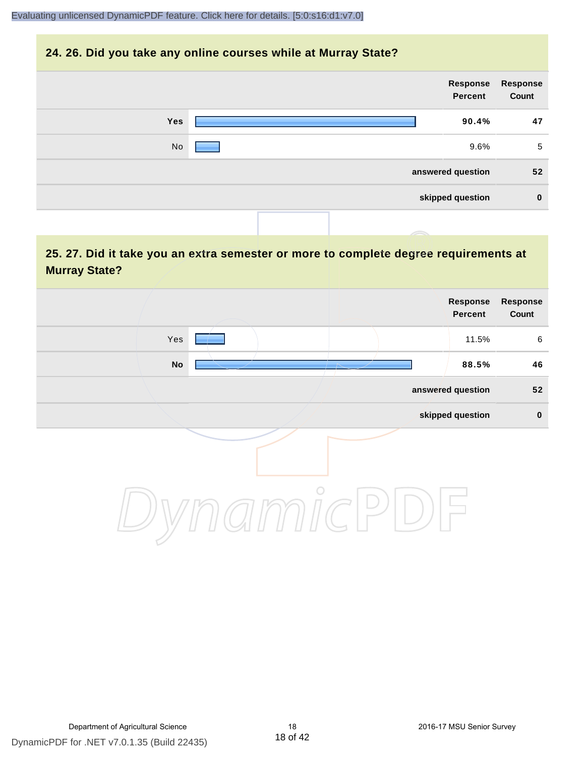#### **24. 26. Did you take any online courses while at Murray State?**

| Response<br>Count | Response<br>Percent |     |
|-------------------|---------------------|-----|
| 47                | 90.4%               | Yes |
| 5                 | 9.6%                | No  |
| 52                | answered question   |     |
| $\bf{0}$          | skipped question    |     |
|                   |                     |     |

#### **25. 27. Did it take you an extra semester or more to complete degree requirements at Murray State?**

| Response<br>Count | Response<br>Percent |                          |            |  |
|-------------------|---------------------|--------------------------|------------|--|
| 6                 | 11.5%               |                          | Yes        |  |
| 46                | 88.5%               | $\overline{\phantom{a}}$ | ${\sf No}$ |  |
| 52                | answered question   |                          |            |  |
| $\pmb{0}$         | skipped question    |                          |            |  |
|                   |                     | $\circ$                  |            |  |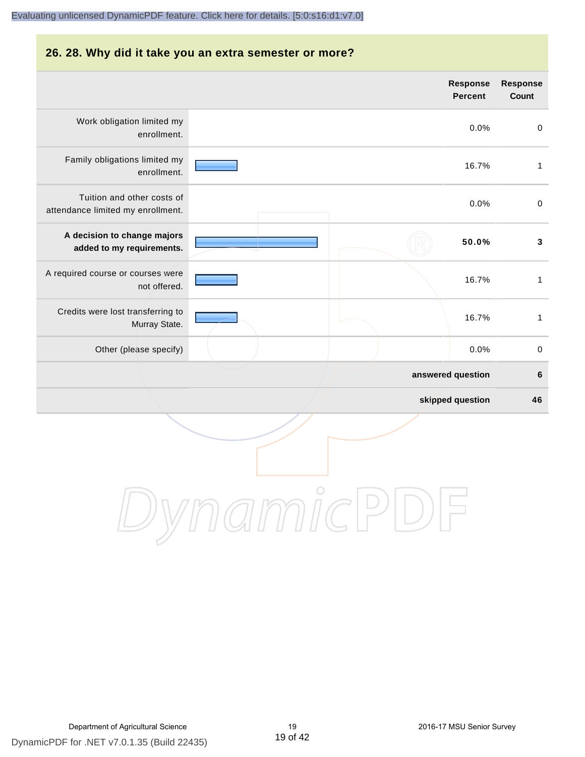### **26. 28. Why did it take you an extra semester or more?**

|                                                                 |            | <b>Response</b><br><b>Percent</b> | <b>Response</b><br>Count |
|-----------------------------------------------------------------|------------|-----------------------------------|--------------------------|
| Work obligation limited my<br>enrollment.                       |            | 0.0%                              | $\pmb{0}$                |
| Family obligations limited my<br>enrollment.                    |            | 16.7%                             | $\mathbf{1}$             |
| Tuition and other costs of<br>attendance limited my enrollment. |            | 0.0%                              | $\mathbf 0$              |
| A decision to change majors<br>added to my requirements.        |            | 50.0%                             | $\mathbf 3$              |
| A required course or courses were<br>not offered.               |            | 16.7%                             | $\mathbf{1}$             |
| Credits were lost transferring to<br>Murray State.              |            | 16.7%                             | $\mathbf{1}$             |
| Other (please specify)                                          |            | 0.0%                              | $\pmb{0}$                |
|                                                                 |            | answered question                 | $\bf 6$                  |
|                                                                 |            | skipped question                  | 46                       |
|                                                                 | $\bigcirc$ |                                   |                          |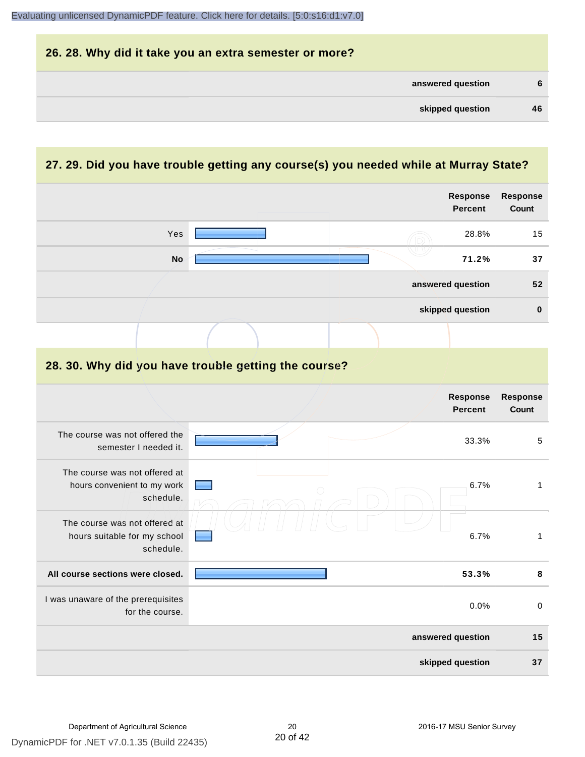

#### **27. 29. Did you have trouble getting any course(s) you needed while at Murray State?**

|                                                                            |  | <b>Response</b><br><b>Percent</b> | <b>Response</b><br>Count |
|----------------------------------------------------------------------------|--|-----------------------------------|--------------------------|
| Yes                                                                        |  | 28.8%                             | 15                       |
| <b>No</b>                                                                  |  | 71.2%                             | 37                       |
|                                                                            |  | answered question                 | 52                       |
|                                                                            |  | skipped question                  | $\bf{0}$                 |
|                                                                            |  |                                   |                          |
| 28. 30. Why did you have trouble getting the course?                       |  |                                   |                          |
|                                                                            |  | Response<br><b>Percent</b>        | Response<br><b>Count</b> |
| The course was not offered the<br>semester I needed it.                    |  | 33.3%                             | 5                        |
| The course was not offered at<br>hours convenient to my work<br>schedule.  |  | 6.7%                              | $\mathbf{1}$             |
| The course was not offered at<br>hours suitable for my school<br>schedule. |  | 6.7%                              | $\mathbf{1}$             |
| All course sections were closed.                                           |  | 53.3%                             | $\pmb{8}$                |
| I was unaware of the prerequisites<br>for the course.                      |  | 0.0%                              | $\mathbf 0$              |
|                                                                            |  | answered question                 | 15                       |
|                                                                            |  | skipped question                  | 37                       |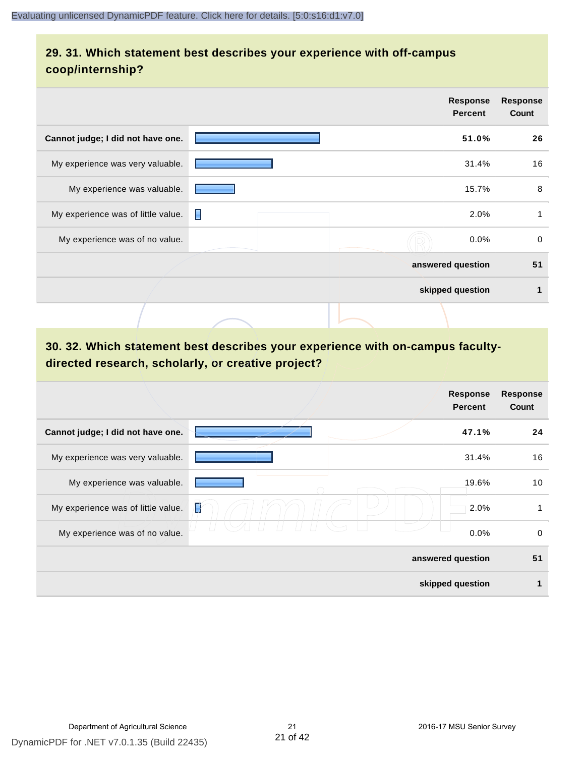#### **29. 31. Which statement best describes your experience with off-campus coop/internship?**

|                                    |   | Response<br><b>Percent</b> | <b>Response</b><br>Count |
|------------------------------------|---|----------------------------|--------------------------|
| Cannot judge; I did not have one.  |   | 51.0%                      | 26                       |
| My experience was very valuable.   |   | 31.4%                      | 16                       |
| My experience was valuable.        |   | 15.7%                      | 8                        |
| My experience was of little value. | П | 2.0%                       | 1                        |
| My experience was of no value.     |   | 0.0%                       | $\Omega$                 |
|                                    |   | answered question          | 51                       |
|                                    |   | skipped question           | 1                        |
|                                    |   |                            |                          |

#### **30. 32. Which statement best describes your experience with on-campus facultydirected research, scholarly, or creative project?**

|                                    |                   | <b>Response</b><br><b>Percent</b> | <b>Response</b><br>Count |
|------------------------------------|-------------------|-----------------------------------|--------------------------|
| Cannot judge; I did not have one.  |                   | 47.1%                             | 24                       |
| My experience was very valuable.   |                   | 31.4%                             | 16                       |
| My experience was valuable.        |                   | 19.6%                             | 10                       |
| My experience was of little value. | I                 | 2.0%                              | 1                        |
| My experience was of no value.     |                   | 0.0%                              | 0                        |
|                                    | answered question |                                   | 51                       |
|                                    | skipped question  |                                   | 1                        |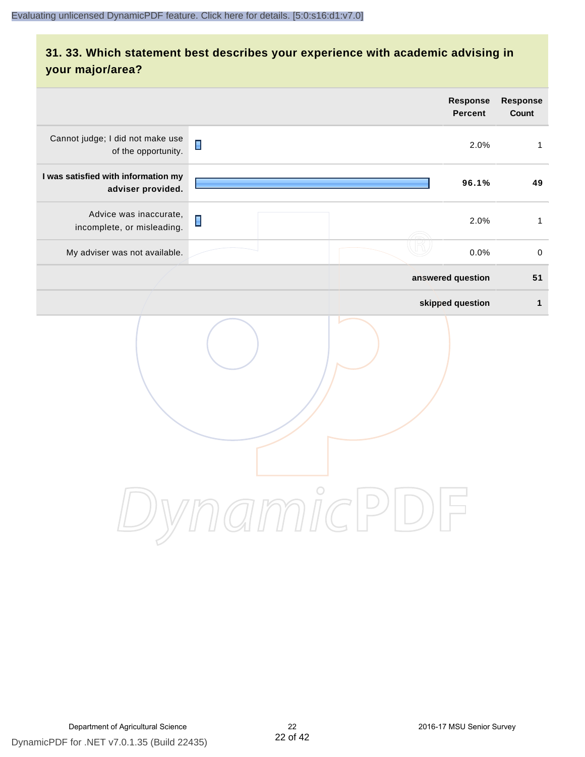#### **31. 33. Which statement best describes your experience with academic advising in your major/area?**

|                                                          |                                                                          | <b>Response</b><br><b>Percent</b> | Response<br>Count |
|----------------------------------------------------------|--------------------------------------------------------------------------|-----------------------------------|-------------------|
| Cannot judge; I did not make use<br>of the opportunity.  | $\blacksquare$                                                           | 2.0%                              | $\mathbf{1}$      |
| I was satisfied with information my<br>adviser provided. |                                                                          | 96.1%                             | 49                |
| Advice was inaccurate,<br>incomplete, or misleading.     | $\blacksquare$                                                           | 2.0%                              | $\mathbf{1}$      |
| My adviser was not available.                            |                                                                          | 0.0%                              | $\,0\,$           |
|                                                          |                                                                          | answered question                 | 51                |
|                                                          |                                                                          | skipped question                  | $\mathbf{1}$      |
|                                                          | ammicl<br>$\left( \begin{array}{c} \end{array} \right)$<br>$\frac{1}{2}$ |                                   |                   |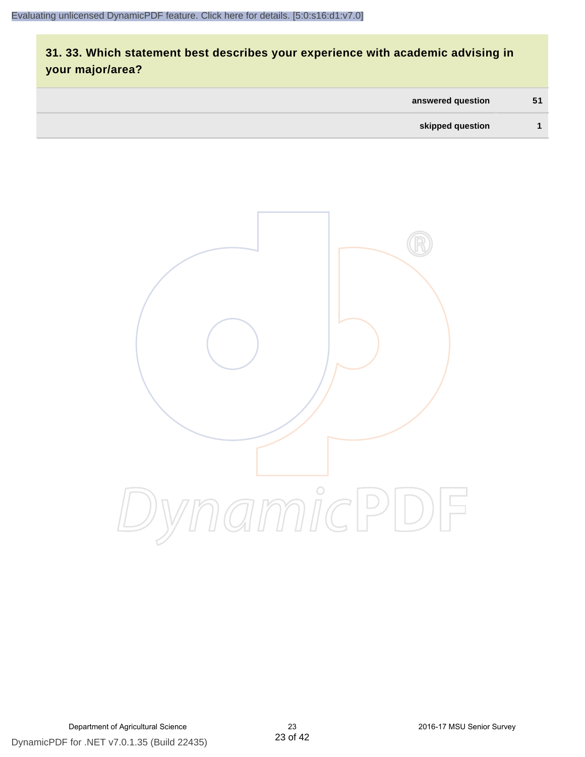#### **31. 33. Which statement best describes your experience with academic advising in your major/area?**

| 51 | answered question |
|----|-------------------|
|    | skipped question  |

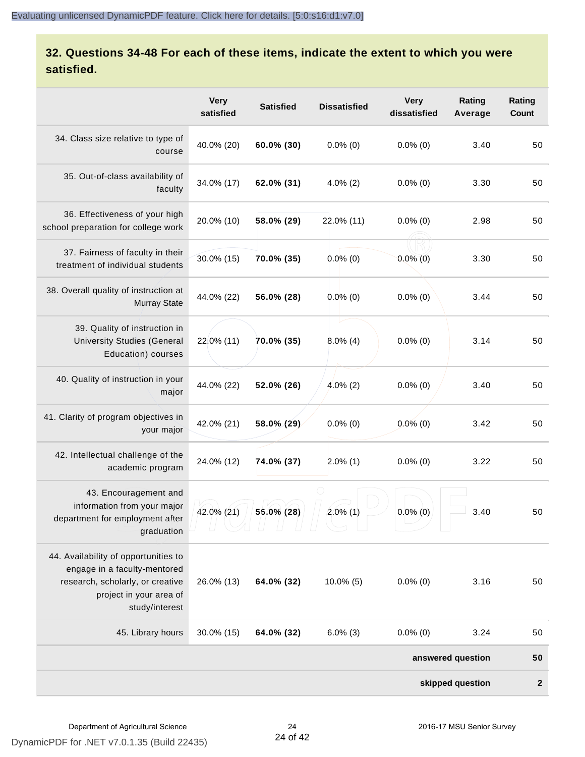#### **32. Questions 34-48 For each of these items, indicate the extent to which you were satisfied.**

|                                                                                                                                                       | <b>Very</b><br>satisfied | <b>Satisfied</b> | <b>Dissatisfied</b> | <b>Very</b><br>dissatisfied | Rating<br>Average | Rating<br>Count  |
|-------------------------------------------------------------------------------------------------------------------------------------------------------|--------------------------|------------------|---------------------|-----------------------------|-------------------|------------------|
| 34. Class size relative to type of<br>course                                                                                                          | 40.0% (20)               | 60.0% (30)       | $0.0\%$ (0)         | $0.0\%$ (0)                 | 3.40              | 50               |
| 35. Out-of-class availability of<br>faculty                                                                                                           | 34.0% (17)               | 62.0% (31)       | $4.0\%$ (2)         | $0.0\%$ (0)                 | 3.30              | 50               |
| 36. Effectiveness of your high<br>school preparation for college work                                                                                 | 20.0% (10)               | 58.0% (29)       | 22.0% (11)          | $0.0\%$ (0)                 | 2.98              | 50               |
| 37. Fairness of faculty in their<br>treatment of individual students                                                                                  | 30.0% (15)               | 70.0% (35)       | $0.0\%$ (0)         | $0.0\%$ (0)                 | 3.30              | 50               |
| 38. Overall quality of instruction at<br><b>Murray State</b>                                                                                          | 44.0% (22)               | 56.0% (28)       | $0.0\%$ (0)         | $0.0\%$ (0)                 | 3.44              | 50               |
| 39. Quality of instruction in<br><b>University Studies (General</b><br>Education) courses                                                             | 22.0% (11)               | 70.0% (35)       | $8.0\%$ (4)         | $0.0\%$ (0)                 | 3.14              | 50               |
| 40. Quality of instruction in your<br>major                                                                                                           | 44.0% (22)               | 52.0% (26)       | $4.0\%$ (2)         | $0.0\%$ (0)                 | 3.40              | 50               |
| 41. Clarity of program objectives in<br>your major                                                                                                    | 42.0% (21)               | 58.0% (29)       | $0.0\%$ (0)         | $0.0\%$ (0)                 | 3.42              | 50               |
| 42. Intellectual challenge of the<br>academic program                                                                                                 | 24.0% (12)               | 74.0% (37)       | $2.0\%$ (1)         | $0.0\%$ (0)                 | 3.22              | 50               |
| 43. Encouragement and<br>information from your major<br>department for employment after<br>graduation                                                 | 42.0% (21)               | 56.0% (28)       | $2.0\%$ (1)         | $0.0\%$ (0)                 | 3.40              | 50               |
| 44. Availability of opportunities to<br>engage in a faculty-mentored<br>research, scholarly, or creative<br>project in your area of<br>study/interest | 26.0% (13)               | 64.0% (32)       | $10.0\%$ (5)        | $0.0\%$ (0)                 | 3.16              | 50               |
| 45. Library hours                                                                                                                                     | 30.0% (15)               | 64.0% (32)       | $6.0\%$ (3)         | $0.0\%$ (0)                 | 3.24              | 50               |
|                                                                                                                                                       |                          |                  |                     |                             | answered question | 50               |
|                                                                                                                                                       |                          |                  |                     |                             | skipped question  | $\boldsymbol{2}$ |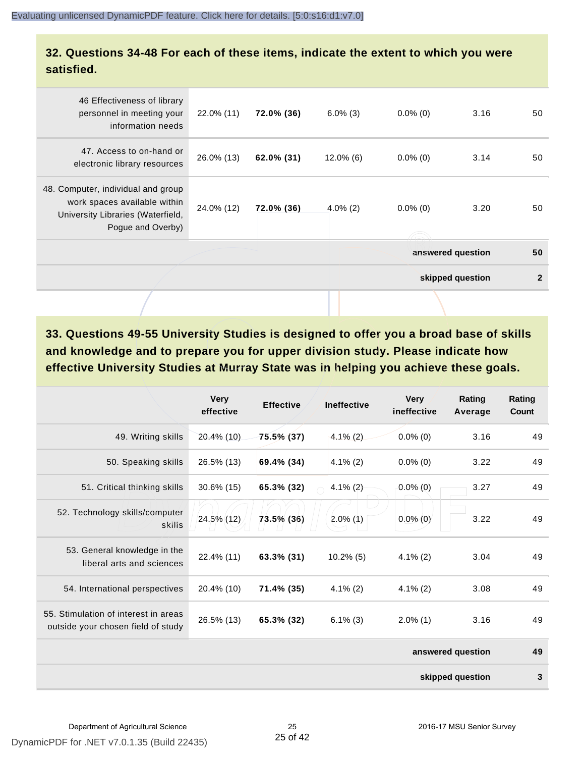#### **32. Questions 34-48 For each of these items, indicate the extent to which you were satisfied.**

|                                                                                                                              |            |            |              |             | answered question<br>skipped question | 50<br>$\mathbf{2}$ |
|------------------------------------------------------------------------------------------------------------------------------|------------|------------|--------------|-------------|---------------------------------------|--------------------|
| 48. Computer, individual and group<br>work spaces available within<br>University Libraries (Waterfield,<br>Pogue and Overby) | 24.0% (12) | 72.0% (36) | $4.0\%$ (2)  | $0.0\%$ (0) | 3.20                                  | 50                 |
| 47. Access to on-hand or<br>electronic library resources                                                                     | 26.0% (13) | 62.0% (31) | $12.0\%$ (6) | $0.0\%$ (0) | 3.14                                  | 50                 |
| 46 Effectiveness of library<br>personnel in meeting your<br>information needs                                                | 22.0% (11) | 72.0% (36) | $6.0\%$ (3)  | $0.0\%$ (0) | 3.16                                  | 50                 |

**33. Questions 49-55 University Studies is designed to offer you a broad base of skills and knowledge and to prepare you for upper division study. Please indicate how effective University Studies at Murray State was in helping you achieve these goals.**

|                                                                            | <b>Very</b><br>effective | <b>Effective</b> | <b>Ineffective</b> | <b>Very</b><br>ineffective | Rating<br>Average | Rating<br>Count |
|----------------------------------------------------------------------------|--------------------------|------------------|--------------------|----------------------------|-------------------|-----------------|
| 49. Writing skills                                                         | 20.4% (10)               | 75.5% (37)       | $4.1\%$ (2)        | $0.0\%$ (0)                | 3.16              | 49              |
| 50. Speaking skills                                                        | 26.5% (13)               | 69.4% (34)       | $4.1\%$ (2)        | $0.0\%$ (0)                | 3.22              | 49              |
| 51. Critical thinking skills                                               | 30.6% (15)               | 65.3% (32)       | $4.1\%$ (2)        | $0.0\%$ (0)                | 3.27              | 49              |
| 52. Technology skills/computer<br>skills                                   | 24.5% (12)               | 73.5% (36)       | $2.0\%$ (1)        | $0.0\%$ (0)                | 3.22              | 49              |
| 53. General knowledge in the<br>liberal arts and sciences                  | 22.4% (11)               | 63.3% (31)       | $10.2\%$ (5)       | $4.1\%$ (2)                | 3.04              | 49              |
| 54. International perspectives                                             | 20.4% (10)               | 71.4% (35)       | $4.1\%(2)$         | $4.1\%$ (2)                | 3.08              | 49              |
| 55. Stimulation of interest in areas<br>outside your chosen field of study | 26.5% (13)               | 65.3% (32)       | $6.1\%$ (3)        | $2.0\%$ (1)                | 3.16              | 49              |
|                                                                            |                          |                  |                    |                            | answered question | 49              |
|                                                                            |                          |                  |                    |                            | skipped question  | 3               |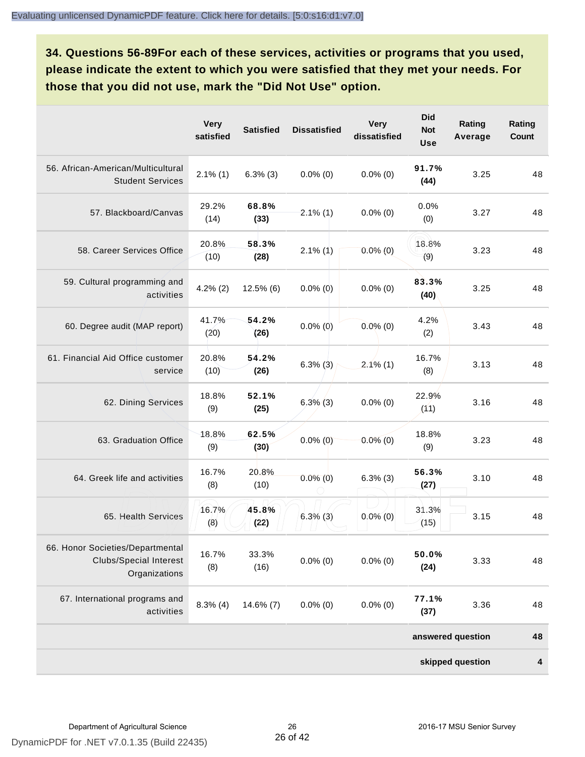**34. Questions 56-89For each of these services, activities or programs that you used, please indicate the extent to which you were satisfied that they met your needs. For those that you did not use, mark the "Did Not Use" option.**

|                                                                                    | <b>Very</b><br>satisfied | <b>Satisfied</b> | <b>Dissatisfied</b> | <b>Very</b><br>dissatisfied | <b>Did</b><br><b>Not</b><br><b>Use</b> | Rating<br>Average | Rating<br>Count |
|------------------------------------------------------------------------------------|--------------------------|------------------|---------------------|-----------------------------|----------------------------------------|-------------------|-----------------|
| 56. African-American/Multicultural<br><b>Student Services</b>                      | $2.1\%$ (1)              | $6.3\%$ (3)      | $0.0\%$ (0)         | $0.0\%$ (0)                 | 91.7%<br>(44)                          | 3.25              | 48              |
| 57. Blackboard/Canvas                                                              | 29.2%<br>(14)            | 68.8%<br>(33)    | $2.1\%$ (1)         | $0.0\%$ (0)                 | 0.0%<br>(0)                            | 3.27              | 48              |
| 58. Career Services Office                                                         | 20.8%<br>(10)            | 58.3%<br>(28)    | $2.1\%$ (1)         | $0.0\%$ (0)                 | 18.8%<br>(9)                           | 3.23              | 48              |
| 59. Cultural programming and<br>activities                                         | $4.2\%$ (2)              | $12.5\%$ (6)     | $0.0\%$ (0)         | $0.0\%$ (0)                 | 83.3%<br>(40)                          | 3.25              | 48              |
| 60. Degree audit (MAP report)                                                      | 41.7%<br>(20)            | 54.2%<br>(26)    | $0.0\%$ (0)         | $0.0\%$ (0)                 | 4.2%<br>(2)                            | 3.43              | 48              |
| 61. Financial Aid Office customer<br>service                                       | 20.8%<br>(10)            | 54.2%<br>(26)    | $6.3\%$ (3)         | $2.1\%$ (1)                 | 16.7%<br>(8)                           | 3.13              | 48              |
| 62. Dining Services                                                                | 18.8%<br>(9)             | 52.1%<br>(25)    | $6,3\%$ (3)         | $0.0\%$ (0)                 | 22.9%<br>(11)                          | 3.16              | 48              |
| 63. Graduation Office                                                              | 18.8%<br>(9)             | 62.5%<br>(30)    | $0.0\%$ (0)         | $0.0\%$ (0)                 | 18.8%<br>(9)                           | 3.23              | 48              |
| 64. Greek life and activities                                                      | 16.7%<br>(8)             | 20.8%<br>(10)    | $0.0\%$ (0)         | $6.3\%$ (3)                 | 56.3%<br>(27)                          | 3.10              | 48              |
| 65. Health Services                                                                | 16.7%<br>(8)             | 45.8%<br>(22)    | $6.3\%$ (3)         | $0.0\%$ (0)                 | 31.3%<br>(15)                          | 3.15              | 48              |
| 66. Honor Societies/Departmental<br><b>Clubs/Special Interest</b><br>Organizations | 16.7%<br>(8)             | 33.3%<br>(16)    | $0.0\%$ (0)         | $0.0\%$ (0)                 | 50.0%<br>(24)                          | 3.33              | 48              |
| 67. International programs and<br>activities                                       | $8.3\%$ (4)              | $14.6\%$ (7)     | $0.0\%$ (0)         | $0.0\%$ (0)                 | 77.1%<br>(37)                          | 3.36              | 48              |
|                                                                                    |                          |                  |                     |                             |                                        | answered question | 48              |
|                                                                                    |                          |                  |                     |                             |                                        | skipped question  | 4               |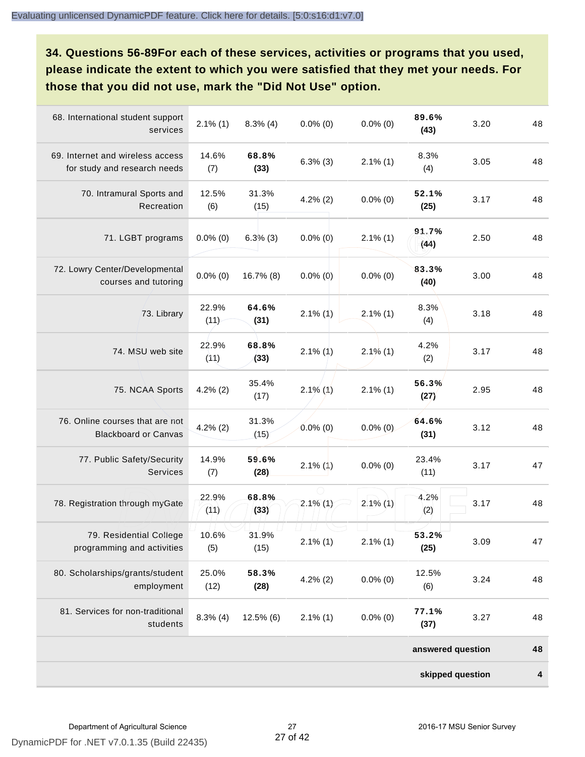**34. Questions 56-89For each of these services, activities or programs that you used, please indicate the extent to which you were satisfied that they met your needs. For those that you did not use, mark the "Did Not Use" option.**

| 68. International student support<br>services                    | $2.1\%$ (1)   | $8.3\%$ (4)   | $0.0\%$ (0) | $0.0\%$ (0) | 89.6%<br>(43)     | 3.20 | 48 |
|------------------------------------------------------------------|---------------|---------------|-------------|-------------|-------------------|------|----|
| 69. Internet and wireless access<br>for study and research needs | 14.6%<br>(7)  | 68.8%<br>(33) | $6.3\%$ (3) | $2.1\%$ (1) | 8.3%<br>(4)       | 3.05 | 48 |
| 70. Intramural Sports and<br>Recreation                          | 12.5%<br>(6)  | 31.3%<br>(15) | $4.2\%$ (2) | $0.0\%$ (0) | 52.1%<br>(25)     | 3.17 | 48 |
| 71. LGBT programs                                                | $0.0\%$ (0)   | $6.3\%$ (3)   | $0.0\%$ (0) | $2.1\%$ (1) | 91.7%<br>(44)     | 2.50 | 48 |
| 72. Lowry Center/Developmental<br>courses and tutoring           | $0.0\%$ (0)   | 16.7% (8)     | $0.0\%$ (0) | $0.0\%$ (0) | 83.3%<br>(40)     | 3.00 | 48 |
| 73. Library                                                      | 22.9%<br>(11) | 64.6%<br>(31) | $2.1\%$ (1) | $2.1\%$ (1) | 8.3%<br>(4)       | 3.18 | 48 |
| 74. MSU web site                                                 | 22.9%<br>(11) | 68.8%<br>(33) | $2.1\%$ (1) | $2.1\%$ (1) | 4.2%<br>(2)       | 3.17 | 48 |
| 75. NCAA Sports                                                  | $4.2\%$ (2)   | 35.4%<br>(17) | $2.1\%$ (1) | $2.1\%$ (1) | 56.3%<br>(27)     | 2.95 | 48 |
| 76. Online courses that are not<br><b>Blackboard or Canvas</b>   | $4.2\%$ (2)   | 31.3%<br>(15) | $0.0\%$ (0) | $0.0\%$ (0) | 64.6%<br>(31)     | 3.12 | 48 |
| 77. Public Safety/Security<br><b>Services</b>                    | 14.9%<br>(7)  | 59.6%<br>(28) | $2.1\%$ (1) | $0.0\%$ (0) | 23.4%<br>(11)     | 3.17 | 47 |
| 78. Registration through myGate                                  | 22.9%<br>(11) | 68.8%<br>(33) | $2.1\%$ (1) | $2.1\%$ (1) | 4.2%<br>(2)       | 3.17 | 48 |
| 79. Residential College<br>programming and activities            | 10.6%<br>(5)  | 31.9%<br>(15) | $2.1\%$ (1) | $2.1\%$ (1) | 53.2%<br>(25)     | 3.09 | 47 |
| 80. Scholarships/grants/student<br>employment                    | 25.0%<br>(12) | 58.3%<br>(28) | $4.2\%$ (2) | $0.0\%$ (0) | 12.5%<br>(6)      | 3.24 | 48 |
| 81. Services for non-traditional<br>students                     | $8.3\%$ (4)   | $12.5\%$ (6)  | $2.1\%$ (1) | $0.0\%$ (0) | 77.1%<br>(37)     | 3.27 | 48 |
|                                                                  |               |               |             |             | answered question |      | 48 |
|                                                                  |               |               |             |             | skipped question  |      | 4  |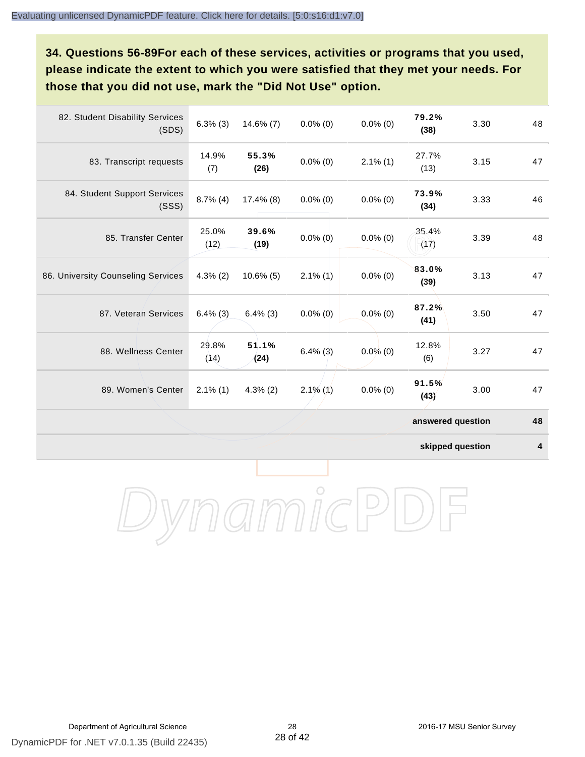**34. Questions 56-89For each of these services, activities or programs that you used, please indicate the extent to which you were satisfied that they met your needs. For those that you did not use, mark the "Did Not Use" option.**

| 82. Student Disability Services<br>(SDS) | $6.3\%$ (3)   | $14.6\%$ (7)  | $0.0\%$ (0) | $0.0\%$ (0) | 79.2%<br>(38)     | 3.30 | 48 |
|------------------------------------------|---------------|---------------|-------------|-------------|-------------------|------|----|
| 83. Transcript requests                  | 14.9%<br>(7)  | 55.3%<br>(26) | $0.0\%$ (0) | $2.1\%$ (1) | 27.7%<br>(13)     | 3.15 | 47 |
| 84. Student Support Services<br>(SSS)    | $8.7\%$ (4)   | $17.4\%$ (8)  | $0.0\%$ (0) | $0.0\%$ (0) | 73.9%<br>(34)     | 3.33 | 46 |
| 85. Transfer Center                      | 25.0%<br>(12) | 39.6%<br>(19) | $0.0\%$ (0) | $0.0\%$ (0) | 35.4%<br>(17)     | 3.39 | 48 |
| 86. University Counseling Services       | $4.3\%$ (2)   | $10.6\%$ (5)  | $2.1\%$ (1) | $0.0\%$ (0) | 83.0%<br>(39)     | 3.13 | 47 |
| 87. Veteran Services                     | $6.4\%$ (3)   | $6.4\%$ (3)   | $0.0\%$ (0) | $0.0\%$ (0) | 87.2%<br>(41)     | 3.50 | 47 |
| 88. Wellness Center                      | 29.8%<br>(14) | 51.1%<br>(24) | $6.4\%$ (3) | $0.0\%$ (0) | 12.8%<br>(6)      | 3.27 | 47 |
| 89. Women's Center                       | $2.1\%$ (1)   | $4.3\%$ (2)   | $2.1\%$ (1) | $0.0\%$ (0) | 91.5%<br>(43)     | 3.00 | 47 |
|                                          |               |               |             |             | answered question |      | 48 |

**skipped question 4**

DynamicPDF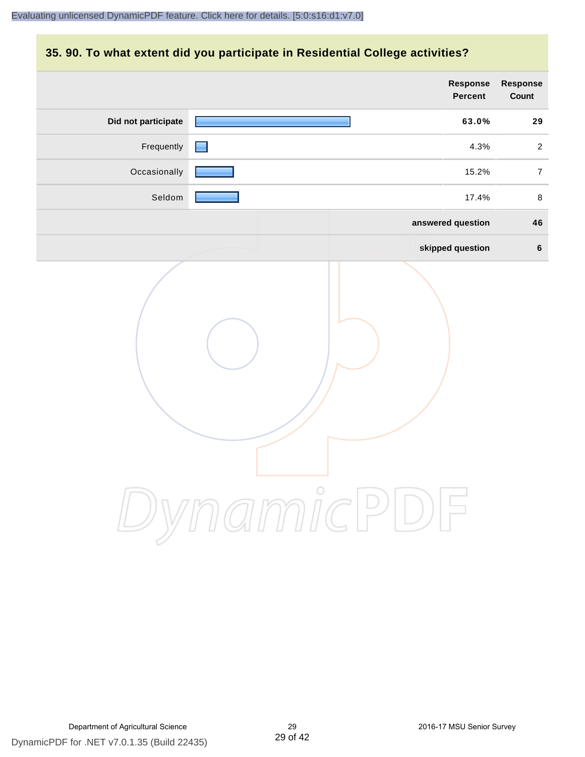#### **35. 90. To what extent did you participate in Residential College activities?**

|                     | <b>Response</b><br>Percent | Response<br>Count |
|---------------------|----------------------------|-------------------|
| Did not participate | 63.0%                      | 29                |
| Frequently          | 4.3%                       | $\overline{2}$    |
| Occasionally        | 15.2%                      | $\overline{7}$    |
| Seldom              | 17.4%                      | $\,8\,$           |
|                     | answered question          | 46                |
|                     | skipped question           | $\bf 6$           |
|                     | ynamicPl<br>$\bigcup$      |                   |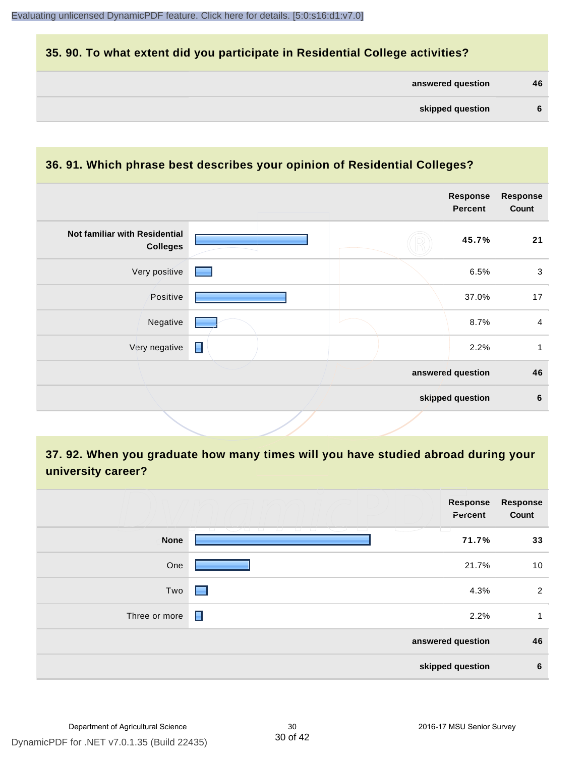#### **35. 90. To what extent did you participate in Residential College activities?**

| answered question<br>46 |
|-------------------------|
|-------------------------|

#### **36. 91. Which phrase best describes your opinion of Residential Colleges?**

|                                                  |                                   | <b>Response</b><br><b>Percent</b> | <b>Response</b><br>Count |
|--------------------------------------------------|-----------------------------------|-----------------------------------|--------------------------|
| Not familiar with Residential<br><b>Colleges</b> |                                   | 45.7%                             | 21                       |
| Very positive                                    | <b>Contract Contract Contract</b> | 6.5%                              | $\mathbf{3}$             |
| Positive                                         |                                   | 37.0%                             | 17                       |
| Negative                                         |                                   | 8.7%                              | $\overline{4}$           |
| Very negative                                    | $\blacksquare$                    | 2.2%                              | 1                        |
|                                                  |                                   | answered question                 | 46                       |
|                                                  |                                   | skipped question                  | 6                        |

#### **37. 92. When you graduate how many times will you have studied abroad during your university career?**

|               | <b>Response</b><br>Percent                                                                                                                                                                                                                                                                | <b>Response</b><br>Count |
|---------------|-------------------------------------------------------------------------------------------------------------------------------------------------------------------------------------------------------------------------------------------------------------------------------------------|--------------------------|
| <b>None</b>   | - 1 - 1 - 1<br><b>The Company</b><br><b>The Contract of the Contract of the Contract of the Contract of the Contract of the Contract of the Contract of the Contract of the Contract of The Contract of The Contract of The Contract of The Contract of The Contract </b><br>マース<br>71.7% | 33                       |
| One           | 21.7%                                                                                                                                                                                                                                                                                     | 10                       |
| Two           | 4.3%<br>. .                                                                                                                                                                                                                                                                               | $\overline{2}$           |
| Three or more | П<br>2.2%                                                                                                                                                                                                                                                                                 | 1                        |
|               | answered question                                                                                                                                                                                                                                                                         | 46                       |
|               | skipped question                                                                                                                                                                                                                                                                          | $6\phantom{1}6$          |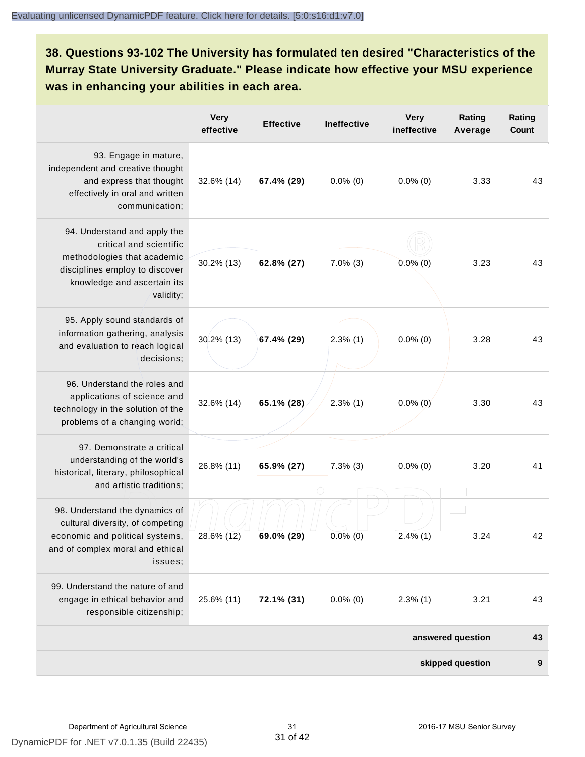**38. Questions 93-102 The University has formulated ten desired "Characteristics of the Murray State University Graduate." Please indicate how effective your MSU experience was in enhancing your abilities in each area.**

|                                                                                                                                                                      | <b>Very</b><br>effective | <b>Effective</b> | Ineffective | <b>Very</b><br>ineffective | Rating<br>Average | Rating<br>Count |
|----------------------------------------------------------------------------------------------------------------------------------------------------------------------|--------------------------|------------------|-------------|----------------------------|-------------------|-----------------|
| 93. Engage in mature,<br>independent and creative thought<br>and express that thought<br>effectively in oral and written<br>communication;                           | 32.6% (14)               | 67.4% (29)       | $0.0\%$ (0) | $0.0\%$ (0)                | 3.33              | 43              |
| 94. Understand and apply the<br>critical and scientific<br>methodologies that academic<br>disciplines employ to discover<br>knowledge and ascertain its<br>validity; | 30.2% (13)               | 62.8% (27)       | $7.0\%$ (3) | $0.0\%$ (0)                | 3.23              | 43              |
| 95. Apply sound standards of<br>information gathering, analysis<br>and evaluation to reach logical<br>decisions;                                                     | 30.2% (13)               | 67.4% (29)       | 2.3%(1)     | $0.0\%$ (0)                | 3.28              | 43              |
| 96. Understand the roles and<br>applications of science and<br>technology in the solution of the<br>problems of a changing world;                                    | 32.6% (14)               | 65.1% (28)       | $2.3\%$ (1) | $0.0\%$ (0)                | 3.30              | 43              |
| 97. Demonstrate a critical<br>understanding of the world's<br>historical, literary, philosophical<br>and artistic traditions;                                        | 26.8% (11)               | 65.9% (27)       | $7.3%$ (3)  | $0.0\%$ (0)                | 3.20              | 41              |
| 98. Understand the dynamics of<br>cultural diversity, of competing<br>economic and political systems,<br>and of complex moral and ethical<br>issues;                 | 28.6% (12)               | 69.0% (29)       | $0.0\%$ (0) | $2.4\%$ (1)                | 3.24              | 42              |
| 99. Understand the nature of and<br>engage in ethical behavior and<br>responsible citizenship;                                                                       | 25.6% (11)               | 72.1% (31)       | $0.0\%$ (0) | $2.3\%$ (1)                | 3.21              | 43              |
|                                                                                                                                                                      |                          |                  |             |                            | answered question | 43              |
|                                                                                                                                                                      |                          |                  |             |                            | skipped question  | 9               |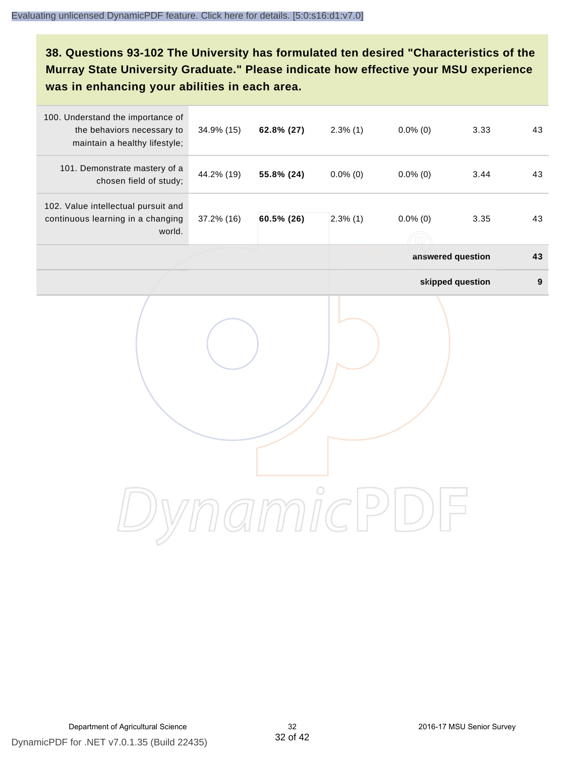#### **38. Questions 93-102 The University has formulated ten desired "Characteristics of the Murray State University Graduate." Please indicate how effective your MSU experience was in enhancing your abilities in each area.**

| 100. Understand the importance of<br>the behaviors necessary to<br>maintain a healthy lifestyle; | 34.9% (15) | 62.8% (27) | $2.3\%$ (1) | $0.0\%$ (0) | 3.33              | 43               |
|--------------------------------------------------------------------------------------------------|------------|------------|-------------|-------------|-------------------|------------------|
| 101. Demonstrate mastery of a<br>chosen field of study;                                          | 44.2% (19) | 55.8% (24) | $0.0\%$ (0) | $0.0\%$ (0) | 3.44              | 43               |
| 102. Value intellectual pursuit and<br>continuous learning in a changing<br>world.               | 37.2% (16) | 60.5% (26) | $2.3\%$ (1) | $0.0\%$ (0) | 3.35              | 43               |
|                                                                                                  |            |            |             |             | answered question | 43               |
|                                                                                                  |            |            |             |             | skipped question  | $\boldsymbol{9}$ |
|                                                                                                  |            |            |             |             |                   |                  |
|                                                                                                  |            |            |             |             |                   |                  |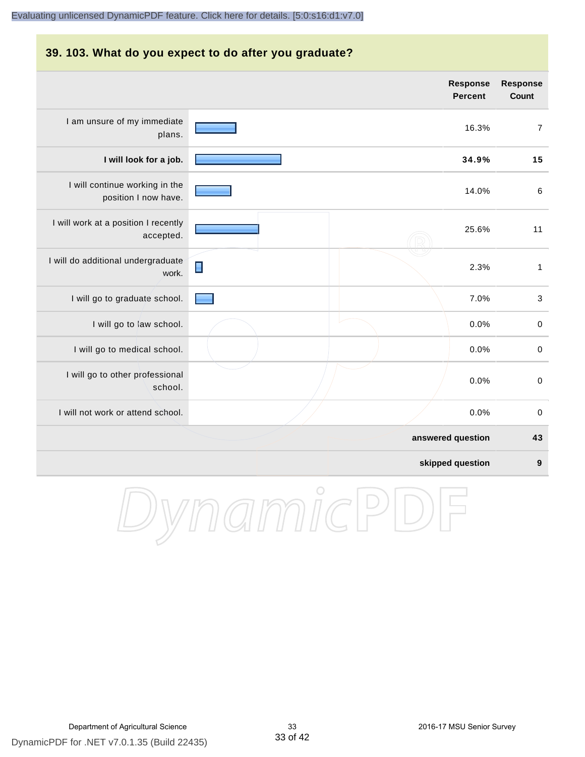### **39. 103. What do you expect to do after you graduate? Response** I am unsure of my immediate plans.

| ram anoaro or my mimodiato<br>plans.                   |                | 16.3%             | $\overline{7}$   |
|--------------------------------------------------------|----------------|-------------------|------------------|
| I will look for a job.                                 |                | 34.9%             | 15               |
| I will continue working in the<br>position I now have. |                | 14.0%             | $\,6$            |
| I will work at a position I recently<br>accepted.      |                | 25.6%             | 11               |
| I will do additional undergraduate<br>work.            | $\blacksquare$ | 2.3%              | $\mathbf{1}$     |
| I will go to graduate school.                          |                | 7.0%              | $\sqrt{3}$       |
| I will go to law school.                               |                | 0.0%              | $\pmb{0}$        |
| I will go to medical school.                           |                | 0.0%              | $\pmb{0}$        |
| I will go to other professional<br>school.             |                | 0.0%              | $\pmb{0}$        |
| I will not work or attend school.                      |                | 0.0%              | 0                |
|                                                        |                | answered question | 43               |
|                                                        |                | skipped question  | $\boldsymbol{9}$ |

DynamicPDF

**Percent**

**Response Count**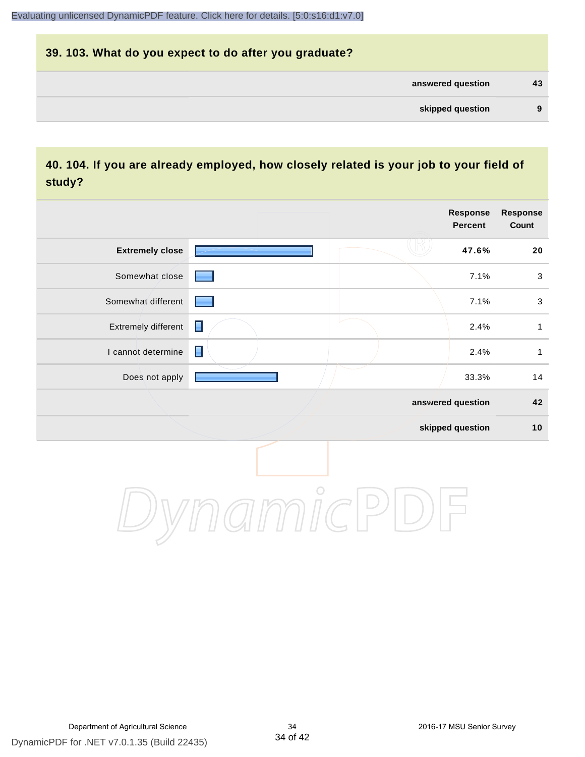## **39. 103. What do you expect to do after you graduate? answered question 43 skipped question 9**

#### **40. 104. If you are already employed, how closely related is your job to your field of study?**

|                        |                |         | <b>Response</b><br><b>Percent</b> | <b>Response</b><br>Count |
|------------------------|----------------|---------|-----------------------------------|--------------------------|
| <b>Extremely close</b> |                |         | 47.6%                             | ${\bf 20}$               |
| Somewhat close         |                |         | 7.1%                              | $\sqrt{3}$               |
| Somewhat different     |                |         | 7.1%                              | $\sqrt{3}$               |
| Extremely different    | $\blacksquare$ |         | 2.4%                              | $\mathbf{1}$             |
| I cannot determine     | $\blacksquare$ |         | 2.4%                              | $\mathbf{1}$             |
| Does not apply         |                |         | 33.3%                             | 14                       |
|                        |                |         | answered question                 | 42                       |
|                        |                |         | skipped question                  | 10                       |
|                        |                | $\circ$ |                                   |                          |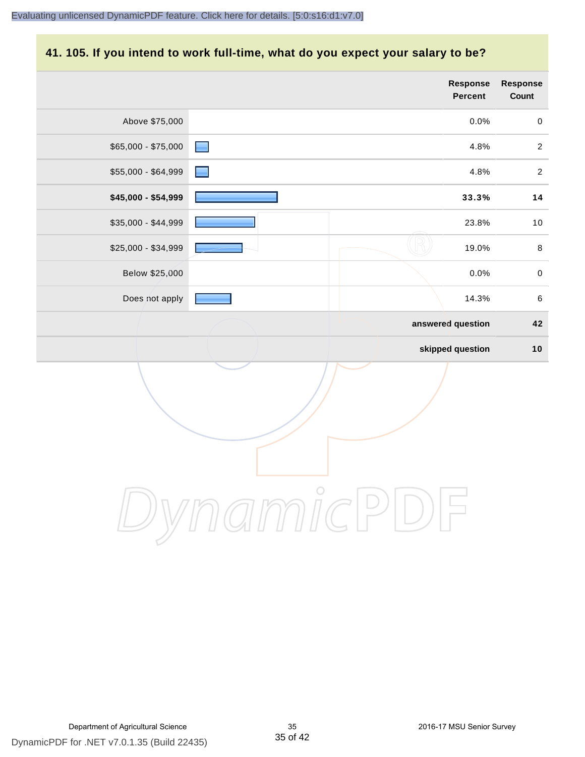#### **41. 105. If you intend to work full-time, what do you expect your salary to be?**

|                     |                   | Response<br>Percent | Response<br>Count |
|---------------------|-------------------|---------------------|-------------------|
| Above \$75,000      |                   | 0.0%                | $\pmb{0}$         |
| $$65,000 - $75,000$ | e.                | 4.8%                | $\overline{2}$    |
| \$55,000 - \$64,999 |                   | 4.8%                | $\overline{c}$    |
| \$45,000 - \$54,999 |                   | 33.3%               | 14                |
| \$35,000 - \$44,999 |                   | 23.8%               | $10$              |
| \$25,000 - \$34,999 |                   | 19.0%               | $\,8\,$           |
| Below \$25,000      |                   | 0.0%                | $\mathbf 0$       |
| Does not apply      |                   | 14.3%               | $\,6\,$           |
|                     | answered question |                     | 42                |
|                     |                   | skipped question    | $10$              |
|                     |                   |                     |                   |
|                     | $\bigcirc$        |                     |                   |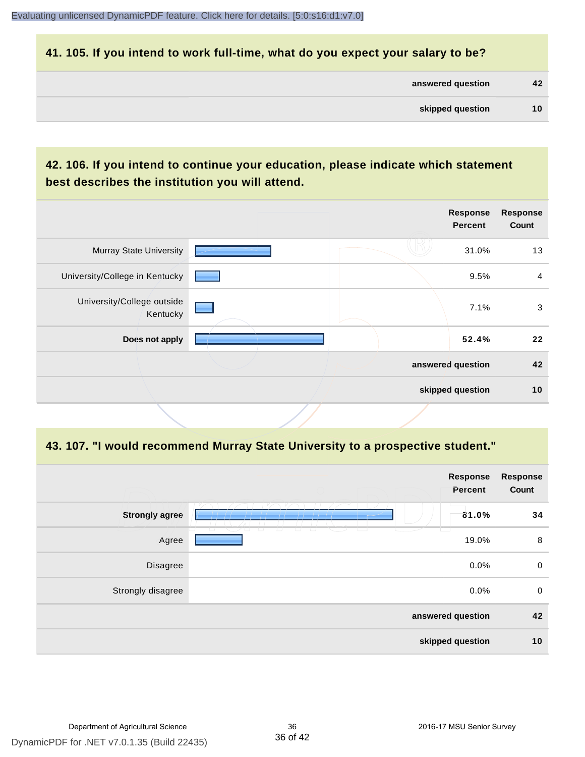#### **41. 105. If you intend to work full-time, what do you expect your salary to be?**

| answered question | 42 |
|-------------------|----|
|-------------------|----|

#### **42. 106. If you intend to continue your education, please indicate which statement best describes the institution you will attend.**

|                                        |  | <b>Response</b><br><b>Percent</b> | <b>Response</b><br>Count |
|----------------------------------------|--|-----------------------------------|--------------------------|
| <b>Murray State University</b>         |  | 31.0%                             | 13                       |
| University/College in Kentucky         |  | 9.5%                              | $\overline{a}$           |
| University/College outside<br>Kentucky |  | 7.1%                              | 3                        |
| Does not apply                         |  | 52.4%                             | $22 \,$                  |
|                                        |  | answered question                 | 42                       |
|                                        |  | skipped question                  | 10                       |

#### **43. 107. "I would recommend Murray State University to a prospective student."**

|                       |            | Response<br>Percent | <b>Response</b><br>Count |
|-----------------------|------------|---------------------|--------------------------|
| <b>Strongly agree</b> |            | 81.0%               | 34                       |
| Agree                 | $\sqrt{2}$ | 19.0%               | 8                        |
| Disagree              |            | 0.0%                | $\mathbf 0$              |
| Strongly disagree     |            | 0.0%                | $\mathbf 0$              |
| answered question     |            | 42                  |                          |
|                       |            | skipped question    | 10                       |
|                       |            |                     |                          |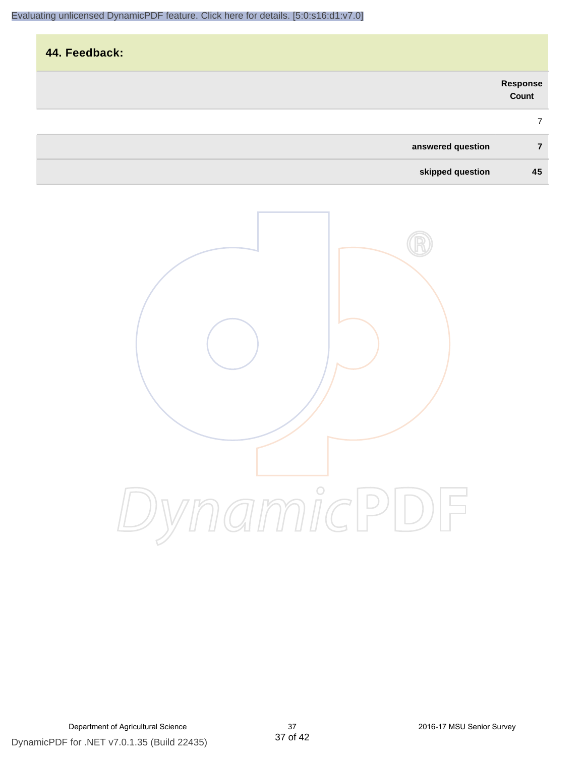| 44. Feedback:     |                   |
|-------------------|-------------------|
|                   | Response<br>Count |
|                   | 7                 |
| answered question |                   |

**skipped question 45**

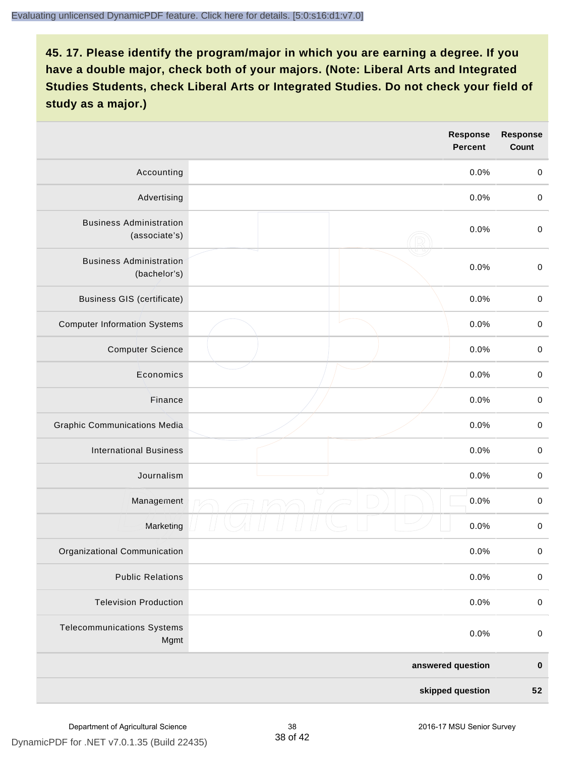|                                                 |  | <b>Response</b><br><b>Percent</b> | <b>Response</b><br>Count |
|-------------------------------------------------|--|-----------------------------------|--------------------------|
| Accounting                                      |  | 0.0%                              | $\mathbf 0$              |
| Advertising                                     |  | 0.0%                              | $\pmb{0}$                |
| <b>Business Administration</b><br>(associate's) |  | 0.0%                              | $\pmb{0}$                |
| <b>Business Administration</b><br>(bachelor's)  |  | 0.0%                              | $\pmb{0}$                |
| <b>Business GIS (certificate)</b>               |  | 0.0%                              | $\mathbf 0$              |
| <b>Computer Information Systems</b>             |  | 0.0%                              | $\pmb{0}$                |
| <b>Computer Science</b>                         |  | 0.0%                              | $\mathbf 0$              |
| Economics                                       |  | 0.0%                              | $\pmb{0}$                |
| Finance                                         |  | 0.0%                              | $\pmb{0}$                |
| <b>Graphic Communications Media</b>             |  | 0.0%                              | $\mathbf 0$              |
| <b>International Business</b>                   |  | 0.0%                              | $\pmb{0}$                |
| Journalism                                      |  | 0.0%                              | $\mathbf 0$              |
| Management                                      |  | 0.0%                              | $\pmb{0}$                |
| Marketing                                       |  | 0.0%                              | $\,0\,$                  |
| Organizational Communication                    |  | 0.0%                              | $\pmb{0}$                |
| <b>Public Relations</b>                         |  | 0.0%                              | $\mathbf 0$              |
| <b>Television Production</b>                    |  | 0.0%                              | $\mathsf 0$              |
| <b>Telecommunications Systems</b><br>Mgmt       |  | 0.0%                              | $\mathbf 0$              |
| answered question                               |  | $\pmb{0}$                         |                          |
| skipped question                                |  | 52                                |                          |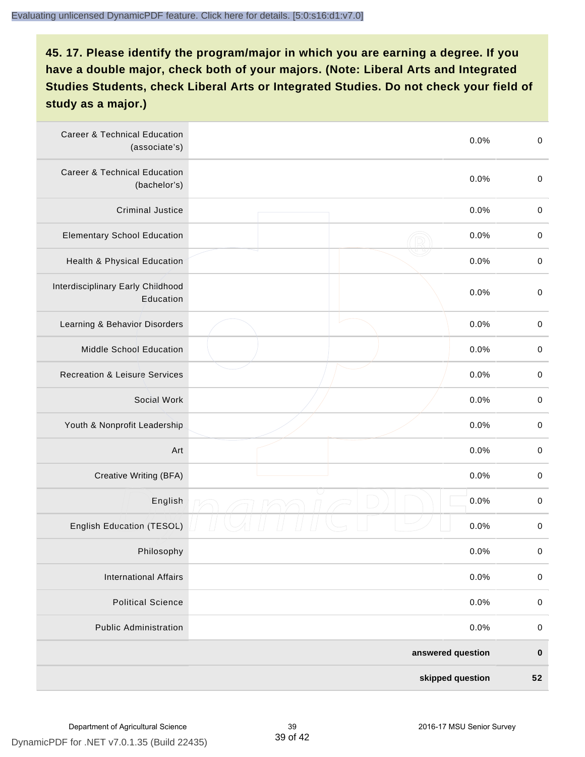| <b>Career &amp; Technical Education</b><br>(associate's) |  | 0.0%              | $\pmb{0}$   |
|----------------------------------------------------------|--|-------------------|-------------|
| <b>Career &amp; Technical Education</b><br>(bachelor's)  |  | 0.0%              | $\mathbf 0$ |
| <b>Criminal Justice</b>                                  |  | 0.0%              | $\pmb{0}$   |
| <b>Elementary School Education</b>                       |  | 0.0%              | $\pmb{0}$   |
| Health & Physical Education                              |  | 0.0%              | $\pmb{0}$   |
| Interdisciplinary Early Childhood<br>Education           |  | 0.0%              | $\pmb{0}$   |
| Learning & Behavior Disorders                            |  | 0.0%              | $\pmb{0}$   |
| <b>Middle School Education</b>                           |  | 0.0%              | $\mathbf 0$ |
| <b>Recreation &amp; Leisure Services</b>                 |  | 0.0%              | $\mathbf 0$ |
| Social Work                                              |  | 0.0%              | $\mathbf 0$ |
| Youth & Nonprofit Leadership                             |  | 0.0%              | $\mathbf 0$ |
| Art                                                      |  | 0.0%              | $\pmb{0}$   |
| Creative Writing (BFA)                                   |  | 0.0%              | $\pmb{0}$   |
| English                                                  |  | 0.0%              | $\pmb{0}$   |
| English Education (TESOL)                                |  | 0.0%              | $\pmb{0}$   |
| Philosophy                                               |  | 0.0%              | 0           |
| <b>International Affairs</b>                             |  | 0.0%              | $\pmb{0}$   |
| <b>Political Science</b>                                 |  | 0.0%              | $\mathbf 0$ |
| <b>Public Administration</b>                             |  | 0.0%              | $\mathbf 0$ |
|                                                          |  | answered question | $\pmb{0}$   |
| skipped question                                         |  |                   | 52          |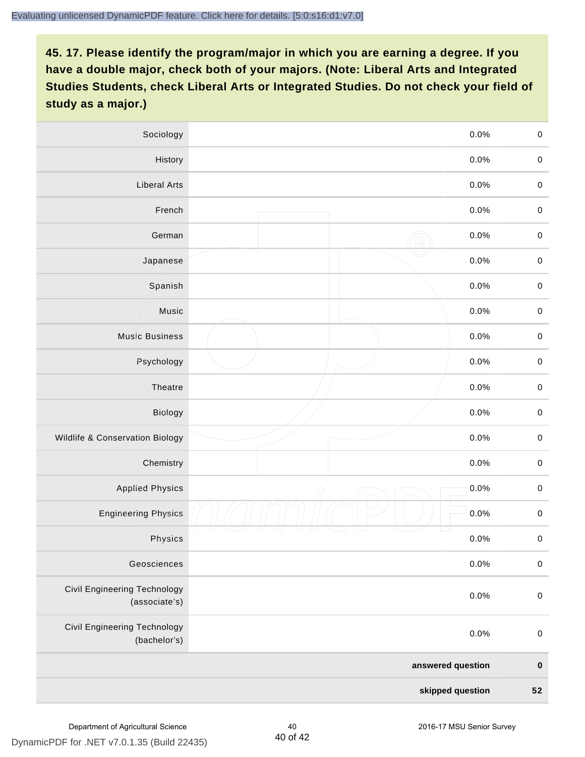| Sociology                                           | 0.0%               | $\mathbf 0$ |
|-----------------------------------------------------|--------------------|-------------|
| History                                             | $0.0\%$            | $\mathbf 0$ |
| <b>Liberal Arts</b>                                 | 0.0%               | $\mathbf 0$ |
| French                                              | 0.0%               | $\pmb{0}$   |
| German                                              | 0.0%               | $\mathbf 0$ |
| Japanese                                            | 0.0%               | $\mathsf 0$ |
| Spanish                                             | 0.0%               | $\mathbf 0$ |
| Music                                               | 0.0%               | $\mathbf 0$ |
| <b>Music Business</b>                               | 0.0%               | $\pmb{0}$   |
| Psychology                                          | 0.0%               | $\mathbf 0$ |
| Theatre                                             | 0.0%               | $\mathbf 0$ |
| Biology                                             | 0.0%               | $\mathbf 0$ |
| Wildlife & Conservation Biology                     | 0.0%               | $\mathbf 0$ |
| Chemistry                                           | 0.0%               | $\pmb{0}$   |
| <b>Applied Physics</b>                              | 0.0%<br>$\bigcirc$ | $\mathbf 0$ |
| <b>Engineering Physics</b>                          | 0.0%               | $\mathbf 0$ |
| Physics                                             | 0.0%               | $\mathbf 0$ |
| Geosciences                                         | 0.0%               | $\mathbf 0$ |
| Civil Engineering Technology<br>(associate's)       | 0.0%               | $\pmb{0}$   |
| <b>Civil Engineering Technology</b><br>(bachelor's) | 0.0%               | $\pmb{0}$   |
| answered question                                   |                    | $\pmb{0}$   |
| skipped question                                    |                    | ${\bf 52}$  |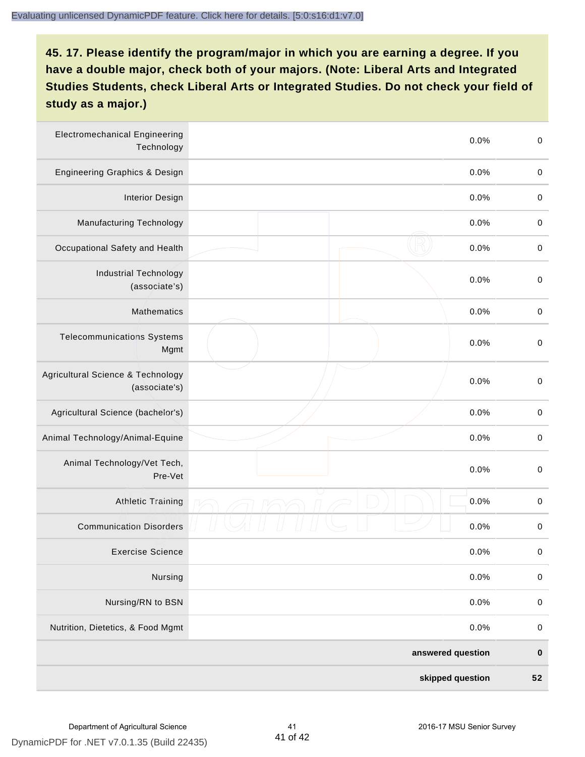| <b>Electromechanical Engineering</b><br>Technology |  | 0.0% | $\mathbf 0$ |
|----------------------------------------------------|--|------|-------------|
| <b>Engineering Graphics &amp; Design</b>           |  | 0.0% | $\mathbf 0$ |
| <b>Interior Design</b>                             |  | 0.0% | $\pmb{0}$   |
| Manufacturing Technology                           |  | 0.0% | $\pmb{0}$   |
| Occupational Safety and Health                     |  | 0.0% | $\pmb{0}$   |
| <b>Industrial Technology</b><br>(associate's)      |  | 0.0% | $\pmb{0}$   |
| <b>Mathematics</b>                                 |  | 0.0% | $\pmb{0}$   |
| <b>Telecommunications Systems</b><br>Mgmt          |  | 0.0% | $\pmb{0}$   |
| Agricultural Science & Technology<br>(associate's) |  | 0.0% | $\mathbf 0$ |
| Agricultural Science (bachelor's)                  |  | 0.0% | $\mathbf 0$ |
| Animal Technology/Animal-Equine                    |  | 0.0% | $\pmb{0}$   |
| Animal Technology/Vet Tech,<br>Pre-Vet             |  | 0.0% | $\pmb{0}$   |
| <b>Athletic Training</b>                           |  | 0.0% | $\,0\,$     |
| <b>Communication Disorders</b>                     |  | 0.0% | $\,0\,$     |
| <b>Exercise Science</b>                            |  | 0.0% | $\pmb{0}$   |
| Nursing                                            |  | 0.0% | $\mathbf 0$ |
| Nursing/RN to BSN                                  |  | 0.0% | $\pmb{0}$   |
| Nutrition, Dietetics, & Food Mgmt                  |  | 0.0% | $\,0\,$     |
| answered question                                  |  |      | $\pmb{0}$   |
| skipped question                                   |  |      | 52          |